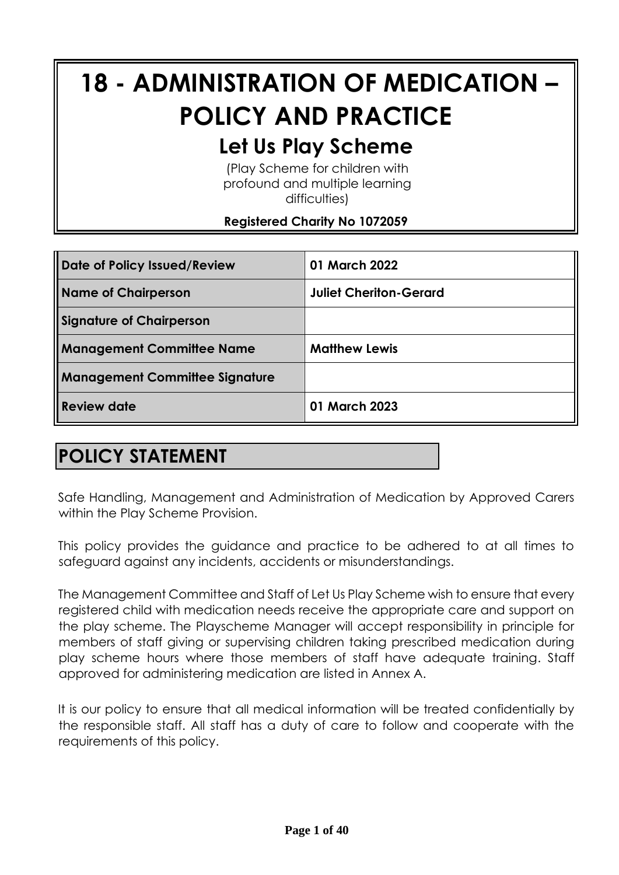# **18 - ADMINISTRATION OF MEDICATION – POLICY AND PRACTICE**

# **Let Us Play Scheme**

(Play Scheme for children with profound and multiple learning difficulties)

### **Registered Charity No 1072059**

| Date of Policy Issued/Review          | 01 March 2022                 |
|---------------------------------------|-------------------------------|
| Name of Chairperson                   | <b>Juliet Cheriton-Gerard</b> |
| Signature of Chairperson              |                               |
| <b>Management Committee Name</b>      | <b>Matthew Lewis</b>          |
| <b>Management Committee Signature</b> |                               |
| <b>Review date</b>                    | 01 March 2023                 |

# **POLICY STATEMENT**

Safe Handling, Management and Administration of Medication by Approved Carers within the Play Scheme Provision.

This policy provides the guidance and practice to be adhered to at all times to safeguard against any incidents, accidents or misunderstandings.

The Management Committee and Staff of Let Us Play Scheme wish to ensure that every registered child with medication needs receive the appropriate care and support on the play scheme. The Playscheme Manager will accept responsibility in principle for members of staff giving or supervising children taking prescribed medication during play scheme hours where those members of staff have adequate training. Staff approved for administering medication are listed in Annex A.

It is our policy to ensure that all medical information will be treated confidentially by the responsible staff. All staff has a duty of care to follow and cooperate with the requirements of this policy.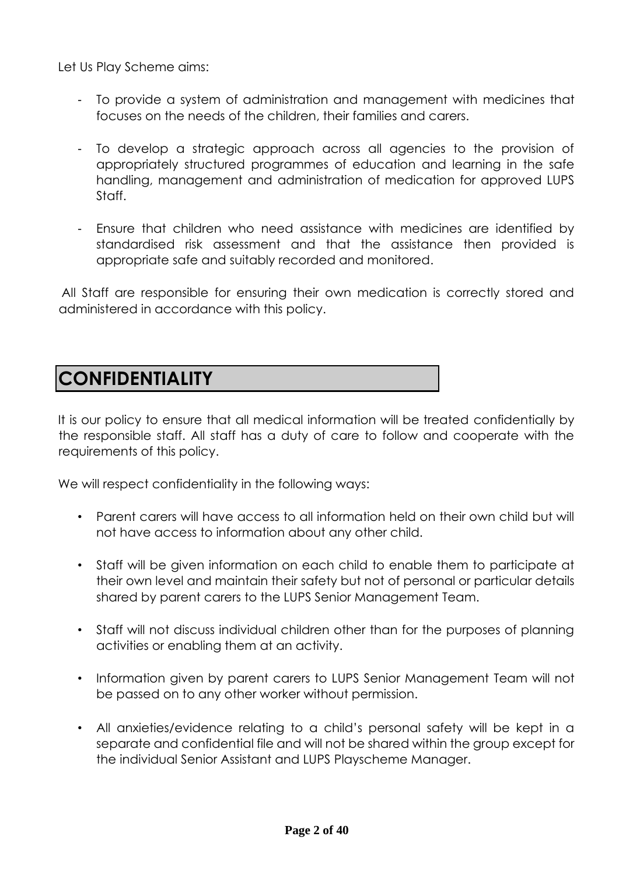Let Us Play Scheme aims:

- To provide a system of administration and management with medicines that focuses on the needs of the children, their families and carers.
- To develop a strategic approach across all agencies to the provision of appropriately structured programmes of education and learning in the safe handling, management and administration of medication for approved LUPS Staff.
- Ensure that children who need assistance with medicines are identified by standardised risk assessment and that the assistance then provided is appropriate safe and suitably recorded and monitored.

All Staff are responsible for ensuring their own medication is correctly stored and administered in accordance with this policy.

# **CONFIDENTIALITY**

It is our policy to ensure that all medical information will be treated confidentially by the responsible staff. All staff has a duty of care to follow and cooperate with the requirements of this policy.

We will respect confidentiality in the following ways:

- Parent carers will have access to all information held on their own child but will not have access to information about any other child.
- Staff will be given information on each child to enable them to participate at their own level and maintain their safety but not of personal or particular details shared by parent carers to the LUPS Senior Management Team.
- Staff will not discuss individual children other than for the purposes of planning activities or enabling them at an activity.
- Information given by parent carers to LUPS Senior Management Team will not be passed on to any other worker without permission.
- All anxieties/evidence relating to a child's personal safety will be kept in a separate and confidential file and will not be shared within the group except for the individual Senior Assistant and LUPS Playscheme Manager.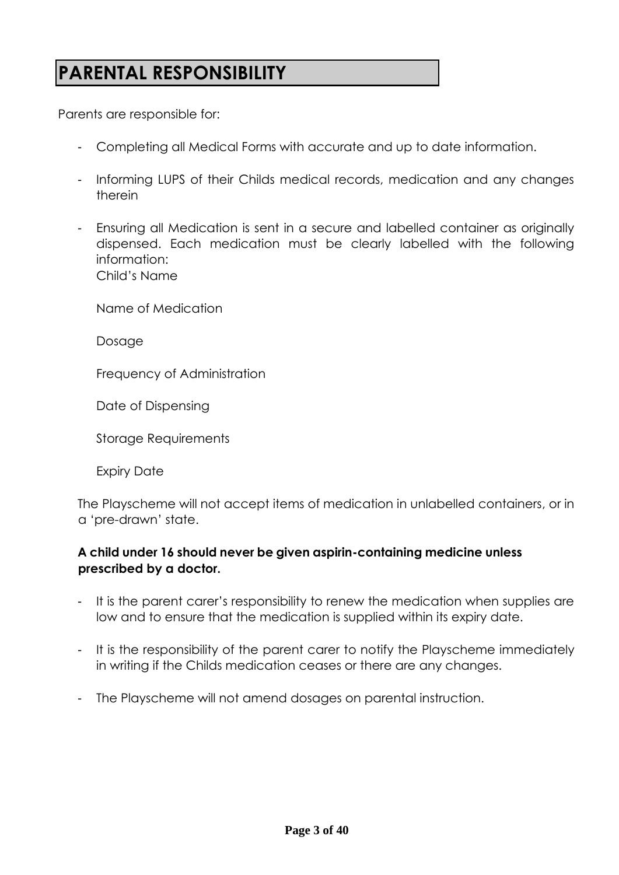# **PARENTAL RESPONSIBILITY**

Parents are responsible for:

- Completing all Medical Forms with accurate and up to date information.
- Informing LUPS of their Childs medical records, medication and any changes therein
- Ensuring all Medication is sent in a secure and labelled container as originally dispensed. Each medication must be clearly labelled with the following information: Child's Name

Name of Medication

Dosage

Frequency of Administration

Date of Dispensing

Storage Requirements

Expiry Date

The Playscheme will not accept items of medication in unlabelled containers, or in a 'pre-drawn' state.

### **A child under 16 should never be given aspirin-containing medicine unless prescribed by a doctor.**

- It is the parent carer's responsibility to renew the medication when supplies are low and to ensure that the medication is supplied within its expiry date.
- It is the responsibility of the parent carer to notify the Playscheme immediately in writing if the Childs medication ceases or there are any changes.
- The Playscheme will not amend dosages on parental instruction.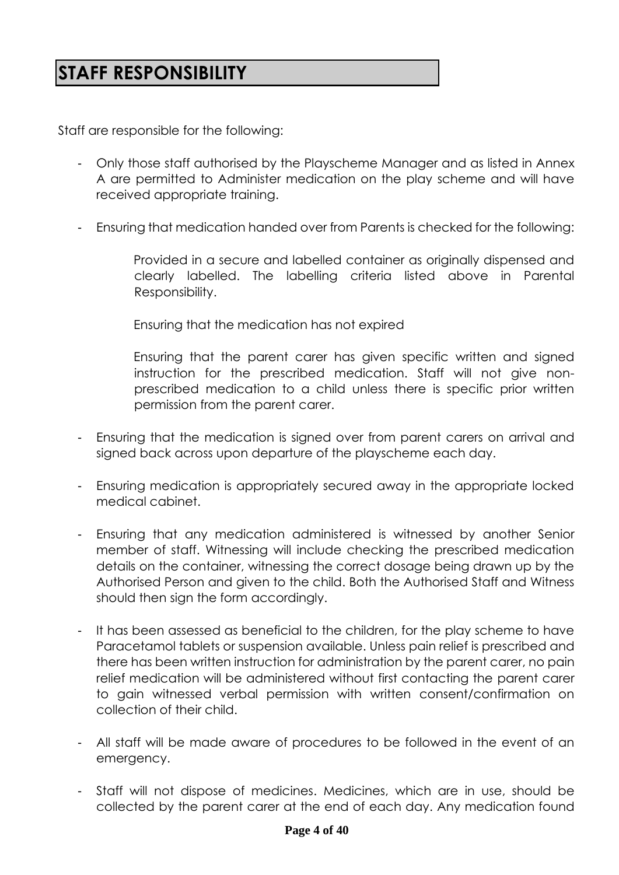# **STAFF RESPONSIBILITY**

Staff are responsible for the following:

- Only those staff authorised by the Playscheme Manager and as listed in Annex A are permitted to Administer medication on the play scheme and will have received appropriate training.
- Ensuring that medication handed over from Parents is checked for the following:
	- Provided in a secure and labelled container as originally dispensed and clearly labelled. The labelling criteria listed above in Parental Responsibility.
	- Ensuring that the medication has not expired
	- Ensuring that the parent carer has given specific written and signed instruction for the prescribed medication. Staff will not give nonprescribed medication to a child unless there is specific prior written permission from the parent carer.
- Ensuring that the medication is signed over from parent carers on arrival and signed back across upon departure of the playscheme each day.
- Ensuring medication is appropriately secured away in the appropriate locked medical cabinet.
- Ensuring that any medication administered is witnessed by another Senior member of staff. Witnessing will include checking the prescribed medication details on the container, witnessing the correct dosage being drawn up by the Authorised Person and given to the child. Both the Authorised Staff and Witness should then sign the form accordingly.
- It has been assessed as beneficial to the children, for the play scheme to have Paracetamol tablets or suspension available. Unless pain relief is prescribed and there has been written instruction for administration by the parent carer, no pain relief medication will be administered without first contacting the parent carer to gain witnessed verbal permission with written consent/confirmation on collection of their child.
- All staff will be made aware of procedures to be followed in the event of an emergency.
- Staff will not dispose of medicines. Medicines, which are in use, should be collected by the parent carer at the end of each day. Any medication found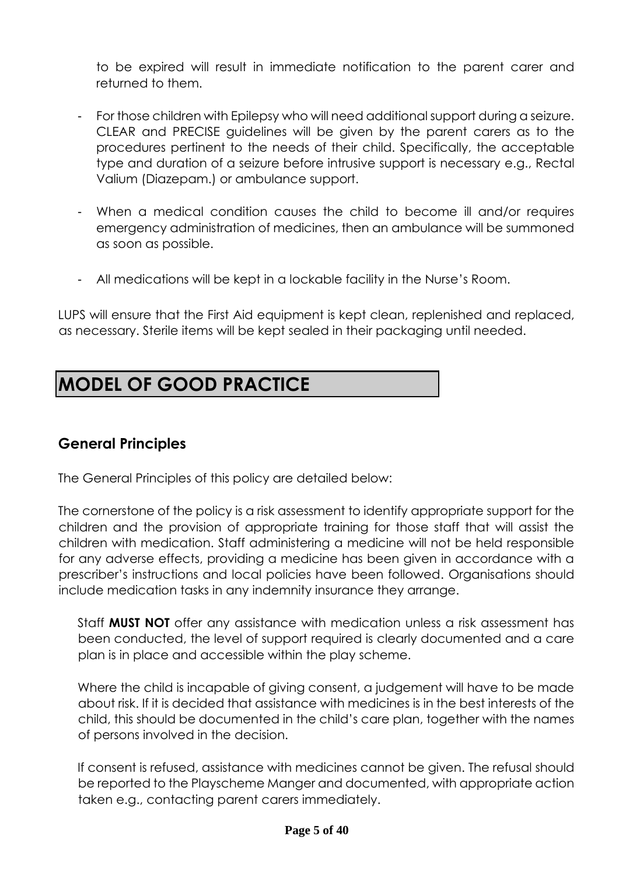to be expired will result in immediate notification to the parent carer and returned to them.

- For those children with Epilepsy who will need additional support during a seizure. CLEAR and PRECISE guidelines will be given by the parent carers as to the procedures pertinent to the needs of their child. Specifically, the acceptable type and duration of a seizure before intrusive support is necessary e.g., Rectal Valium (Diazepam.) or ambulance support.
- When a medical condition causes the child to become ill and/or requires emergency administration of medicines, then an ambulance will be summoned as soon as possible.
- All medications will be kept in a lockable facility in the Nurse's Room.

LUPS will ensure that the First Aid equipment is kept clean, replenished and replaced, as necessary. Sterile items will be kept sealed in their packaging until needed.

# **MODEL OF GOOD PRACTICE**

### **General Principles**

The General Principles of this policy are detailed below:

The cornerstone of the policy is a risk assessment to identify appropriate support for the children and the provision of appropriate training for those staff that will assist the children with medication. Staff administering a medicine will not be held responsible for any adverse effects, providing a medicine has been given in accordance with a prescriber's instructions and local policies have been followed. Organisations should include medication tasks in any indemnity insurance they arrange.

Staff **MUST NOT** offer any assistance with medication unless a risk assessment has been conducted, the level of support required is clearly documented and a care plan is in place and accessible within the play scheme.

Where the child is incapable of giving consent, a judgement will have to be made about risk. If it is decided that assistance with medicines is in the best interests of the child, this should be documented in the child's care plan, together with the names of persons involved in the decision.

If consent is refused, assistance with medicines cannot be given. The refusal should be reported to the Playscheme Manger and documented, with appropriate action taken e.g., contacting parent carers immediately.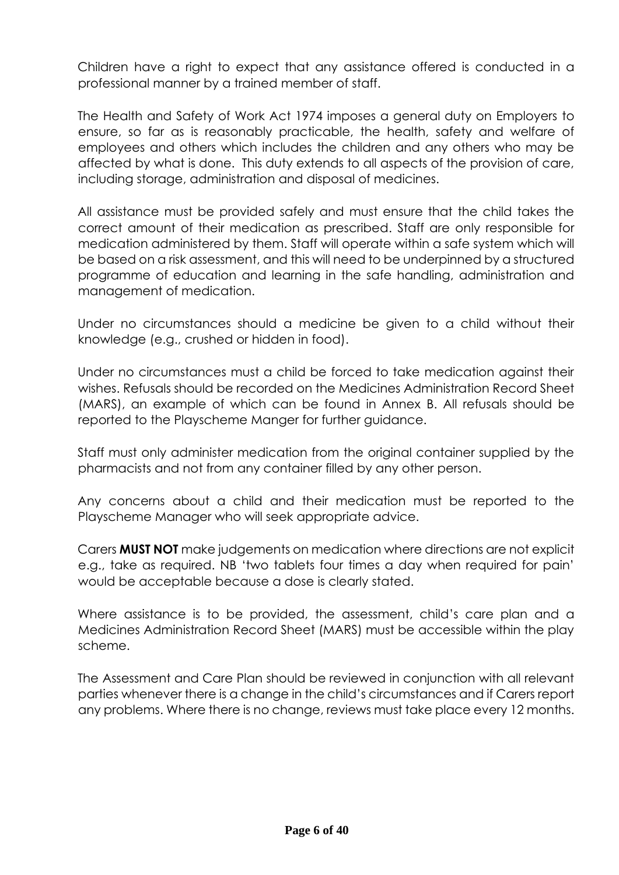Children have a right to expect that any assistance offered is conducted in a professional manner by a trained member of staff.

The Health and Safety of Work Act 1974 imposes a general duty on Employers to ensure, so far as is reasonably practicable, the health, safety and welfare of employees and others which includes the children and any others who may be affected by what is done. This duty extends to all aspects of the provision of care, including storage, administration and disposal of medicines.

All assistance must be provided safely and must ensure that the child takes the correct amount of their medication as prescribed. Staff are only responsible for medication administered by them. Staff will operate within a safe system which will be based on a risk assessment, and this will need to be underpinned by a structured programme of education and learning in the safe handling, administration and management of medication.

Under no circumstances should a medicine be given to a child without their knowledge (e.g., crushed or hidden in food).

Under no circumstances must a child be forced to take medication against their wishes. Refusals should be recorded on the Medicines Administration Record Sheet (MARS), an example of which can be found in Annex B. All refusals should be reported to the Playscheme Manger for further guidance.

Staff must only administer medication from the original container supplied by the pharmacists and not from any container filled by any other person.

Any concerns about a child and their medication must be reported to the Playscheme Manager who will seek appropriate advice.

Carers **MUST NOT** make judgements on medication where directions are not explicit e.g., take as required. NB 'two tablets four times a day when required for pain' would be acceptable because a dose is clearly stated.

Where assistance is to be provided, the assessment, child's care plan and a Medicines Administration Record Sheet (MARS) must be accessible within the play scheme.

The Assessment and Care Plan should be reviewed in conjunction with all relevant parties whenever there is a change in the child's circumstances and if Carers report any problems. Where there is no change, reviews must take place every 12 months.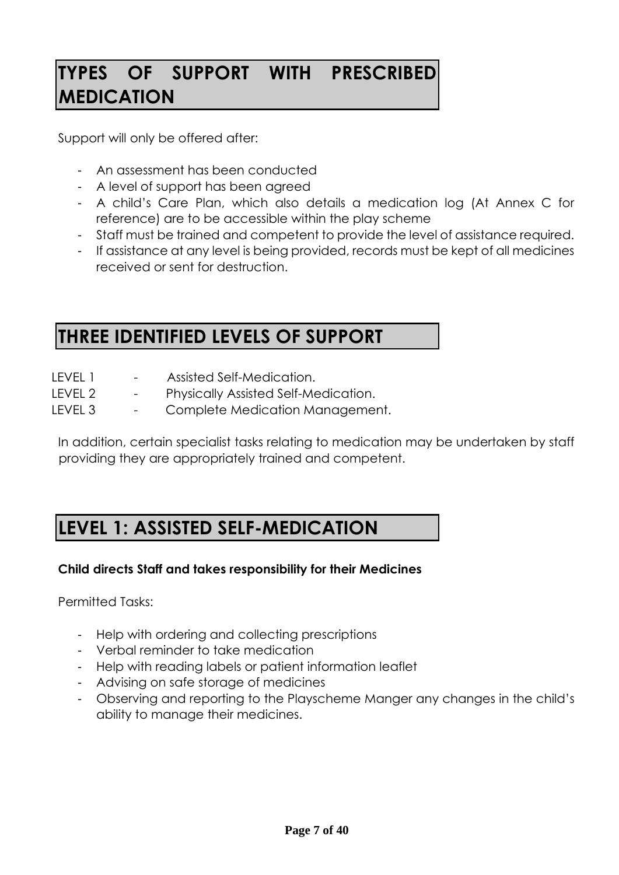# **TYPES OF SUPPORT WITH PRESCRIBED MEDICATION**

Support will only be offered after:

- An assessment has been conducted
- A level of support has been agreed
- A child's Care Plan, which also details a medication log (At Annex C for reference) are to be accessible within the play scheme
- Staff must be trained and competent to provide the level of assistance required.
- If assistance at any level is being provided, records must be kept of all medicines received or sent for destruction.

# **THREE IDENTIFIED LEVELS OF SUPPORT**

| Assisted Self-Medication. |
|---------------------------|
|                           |

- LEVEL 2 Physically Assisted Self-Medication.
- LEVEL 3 Complete Medication Management.

In addition, certain specialist tasks relating to medication may be undertaken by staff providing they are appropriately trained and competent.

# **LEVEL 1: ASSISTED SELF-MEDICATION**

### **Child directs Staff and takes responsibility for their Medicines**

Permitted Tasks:

- Help with ordering and collecting prescriptions
- Verbal reminder to take medication
- Help with reading labels or patient information leaflet
- Advising on safe storage of medicines
- Observing and reporting to the Playscheme Manger any changes in the child's ability to manage their medicines.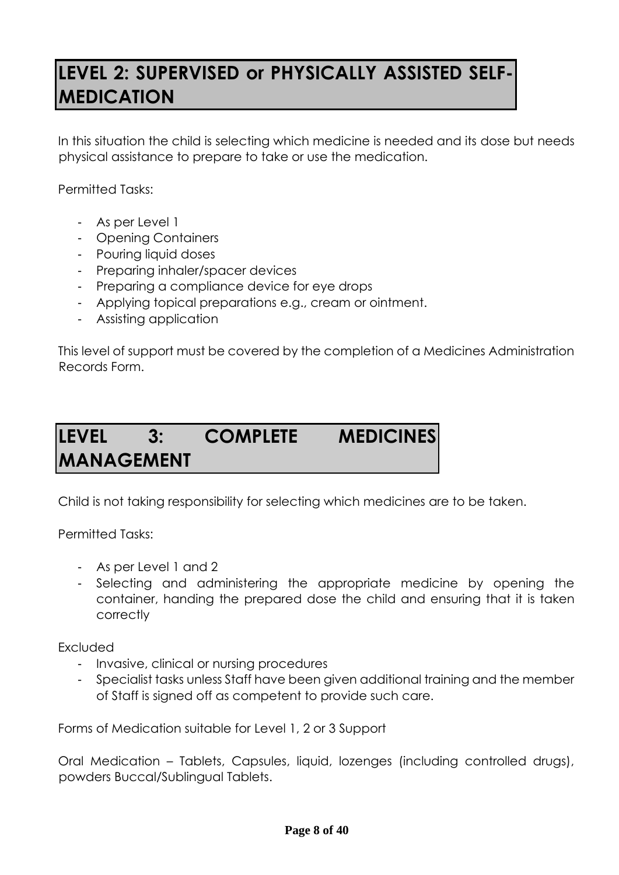# **LEVEL 2: SUPERVISED or PHYSICALLY ASSISTED SELF-MEDICATION**

In this situation the child is selecting which medicine is needed and its dose but needs physical assistance to prepare to take or use the medication.

Permitted Tasks:

- As per Level 1
- Opening Containers
- Pouring liquid doses
- Preparing inhaler/spacer devices
- Preparing a compliance device for eye drops
- Applying topical preparations e.g., cream or ointment.
- Assisting application

This level of support must be covered by the completion of a Medicines Administration Records Form.

# **LEVEL 3: COMPLETE MEDICINES MANAGEMENT**

Child is not taking responsibility for selecting which medicines are to be taken.

Permitted Tasks:

- As per Level 1 and 2
- Selecting and administering the appropriate medicine by opening the container, handing the prepared dose the child and ensuring that it is taken correctly

Excluded

- Invasive, clinical or nursing procedures
- Specialist tasks unless Staff have been given additional training and the member of Staff is signed off as competent to provide such care.

Forms of Medication suitable for Level 1, 2 or 3 Support

Oral Medication – Tablets, Capsules, liquid, lozenges (including controlled drugs), powders Buccal/Sublingual Tablets.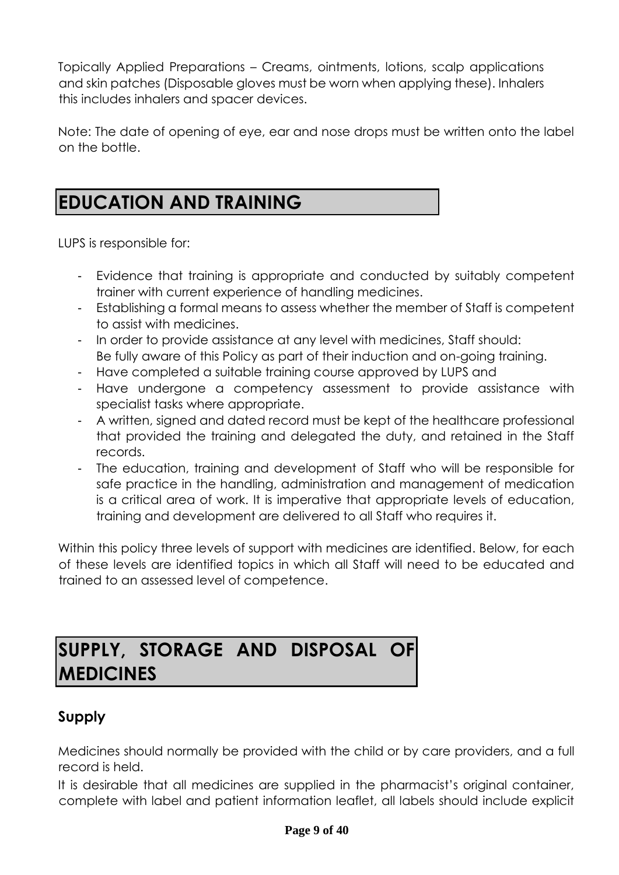Topically Applied Preparations – Creams, ointments, lotions, scalp applications and skin patches (Disposable gloves must be worn when applying these). Inhalers this includes inhalers and spacer devices.

Note: The date of opening of eye, ear and nose drops must be written onto the label on the bottle.

# **EDUCATION AND TRAINING**

LUPS is responsible for:

- Evidence that training is appropriate and conducted by suitably competent trainer with current experience of handling medicines.
- Establishing a formal means to assess whether the member of Staff is competent to assist with medicines.
- In order to provide assistance at any level with medicines, Staff should: Be fully aware of this Policy as part of their induction and on-going training.
- Have completed a suitable training course approved by LUPS and
- Have undergone a competency assessment to provide assistance with specialist tasks where appropriate.
- A written, signed and dated record must be kept of the healthcare professional that provided the training and delegated the duty, and retained in the Staff records.
- The education, training and development of Staff who will be responsible for safe practice in the handling, administration and management of medication is a critical area of work. It is imperative that appropriate levels of education, training and development are delivered to all Staff who requires it.

Within this policy three levels of support with medicines are identified. Below, for each of these levels are identified topics in which all Staff will need to be educated and trained to an assessed level of competence.

# **SUPPLY, STORAGE AND DISPOSAL OF MEDICINES**

### **Supply**

Medicines should normally be provided with the child or by care providers, and a full record is held.

It is desirable that all medicines are supplied in the pharmacist's original container, complete with label and patient information leaflet, all labels should include explicit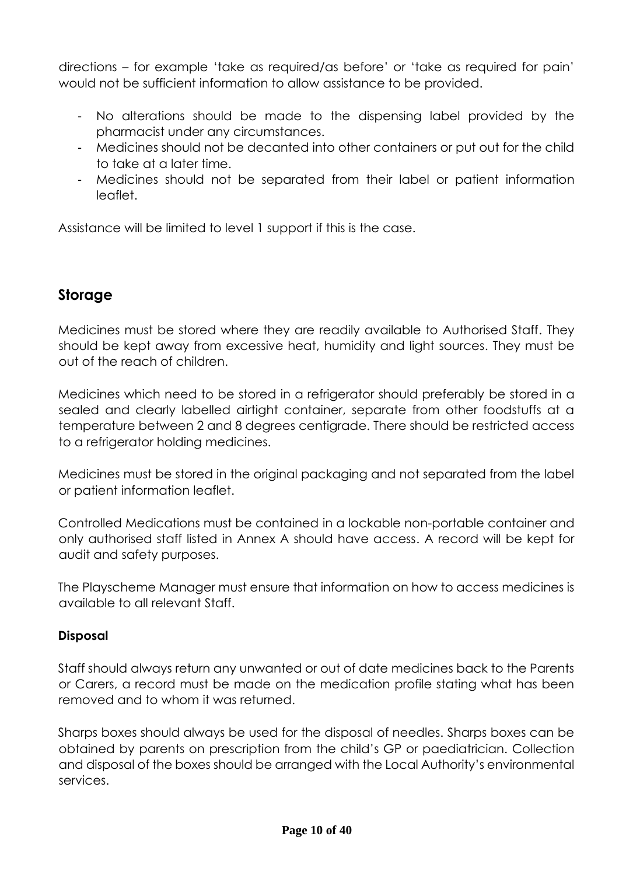directions – for example 'take as required/as before' or 'take as required for pain' would not be sufficient information to allow assistance to be provided.

- No alterations should be made to the dispensing label provided by the pharmacist under any circumstances.
- Medicines should not be decanted into other containers or put out for the child to take at a later time.
- Medicines should not be separated from their label or patient information leaflet.

Assistance will be limited to level 1 support if this is the case.

### **Storage**

Medicines must be stored where they are readily available to Authorised Staff. They should be kept away from excessive heat, humidity and light sources. They must be out of the reach of children.

Medicines which need to be stored in a refrigerator should preferably be stored in a sealed and clearly labelled airtight container, separate from other foodstuffs at a temperature between 2 and 8 degrees centigrade. There should be restricted access to a refrigerator holding medicines.

Medicines must be stored in the original packaging and not separated from the label or patient information leaflet.

Controlled Medications must be contained in a lockable non-portable container and only authorised staff listed in Annex A should have access. A record will be kept for audit and safety purposes.

The Playscheme Manager must ensure that information on how to access medicines is available to all relevant Staff.

### **Disposal**

Staff should always return any unwanted or out of date medicines back to the Parents or Carers, a record must be made on the medication profile stating what has been removed and to whom it was returned.

Sharps boxes should always be used for the disposal of needles. Sharps boxes can be obtained by parents on prescription from the child's GP or paediatrician. Collection and disposal of the boxes should be arranged with the Local Authority's environmental services.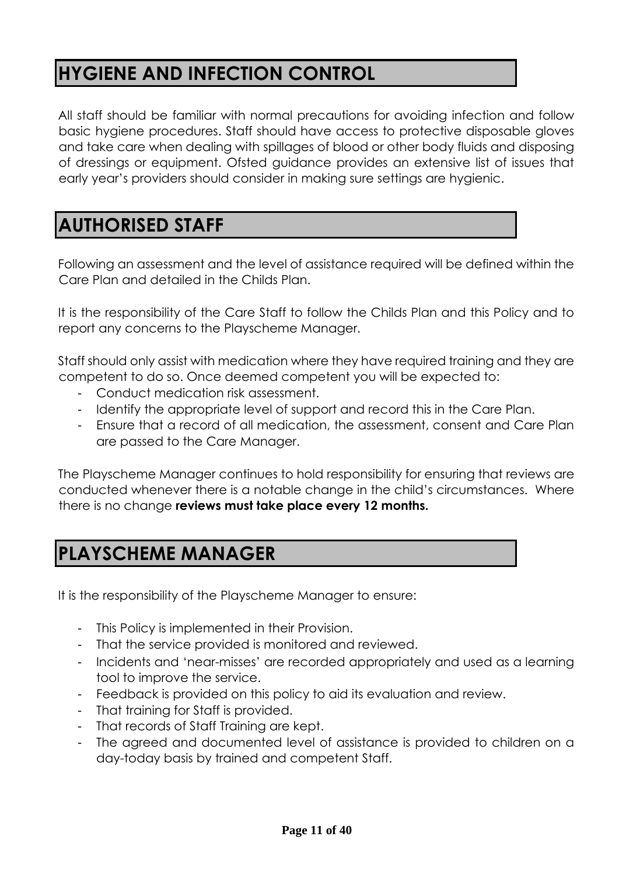# **HYGIENE AND INFECTION CONTROL**

All staff should be familiar with normal precautions for avoiding infection and follow basic hygiene procedures. Staff should have access to protective disposable gloves and take care when dealing with spillages of blood or other body fluids and disposing of dressings or equipment. Ofsted guidance provides an extensive list of issues that early year's providers should consider in making sure settings are hygienic.

# **AUTHORISED STAFF**

Following an assessment and the level of assistance required will be defined within the Care Plan and detailed in the Childs Plan.

It is the responsibility of the Care Staff to follow the Childs Plan and this Policy and to report any concerns to the Playscheme Manager.

Staff should only assist with medication where they have required training and they are competent to do so. Once deemed competent you will be expected to:

- Conduct medication risk assessment.
- Identify the appropriate level of support and record this in the Care Plan.
- Ensure that a record of all medication, the assessment, consent and Care Plan are passed to the Care Manager.

The Playscheme Manager continues to hold responsibility for ensuring that reviews are conducted whenever there is a notable change in the child's circumstances. Where there is no change **reviews must take place every 12 months.** 

# **PLAYSCHEME MANAGER**

It is the responsibility of the Playscheme Manager to ensure:

- This Policy is implemented in their Provision.
- That the service provided is monitored and reviewed.
- Incidents and 'near-misses' are recorded appropriately and used as a learning tool to improve the service.
- Feedback is provided on this policy to aid its evaluation and review.
- That training for Staff is provided.
- That records of Staff Training are kept.
- The agreed and documented level of assistance is provided to children on a day-today basis by trained and competent Staff.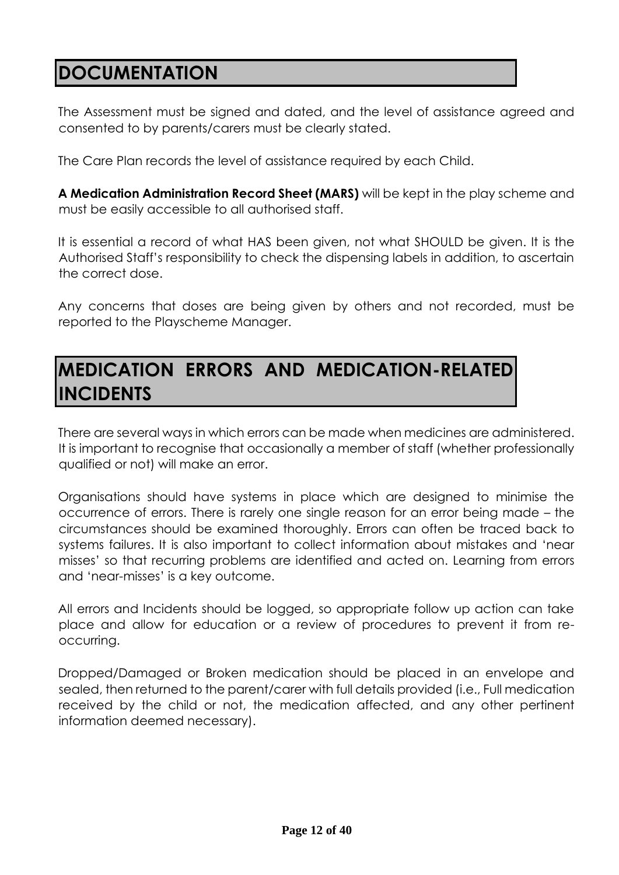# **DOCUMENTATION**

The Assessment must be signed and dated, and the level of assistance agreed and consented to by parents/carers must be clearly stated.

The Care Plan records the level of assistance required by each Child.

**A Medication Administration Record Sheet (MARS)** will be kept in the play scheme and must be easily accessible to all authorised staff.

It is essential a record of what HAS been given, not what SHOULD be given. It is the Authorised Staff's responsibility to check the dispensing labels in addition, to ascertain the correct dose.

Any concerns that doses are being given by others and not recorded, must be reported to the Playscheme Manager.

# **MEDICATION ERRORS AND MEDICATION-RELATED INCIDENTS**

There are several ways in which errors can be made when medicines are administered. It is important to recognise that occasionally a member of staff (whether professionally qualified or not) will make an error.

Organisations should have systems in place which are designed to minimise the occurrence of errors. There is rarely one single reason for an error being made – the circumstances should be examined thoroughly. Errors can often be traced back to systems failures. It is also important to collect information about mistakes and 'near misses' so that recurring problems are identified and acted on. Learning from errors and 'near-misses' is a key outcome.

All errors and Incidents should be logged, so appropriate follow up action can take place and allow for education or a review of procedures to prevent it from reoccurring.

Dropped/Damaged or Broken medication should be placed in an envelope and sealed, then returned to the parent/carer with full details provided (i.e., Full medication received by the child or not, the medication affected, and any other pertinent information deemed necessary).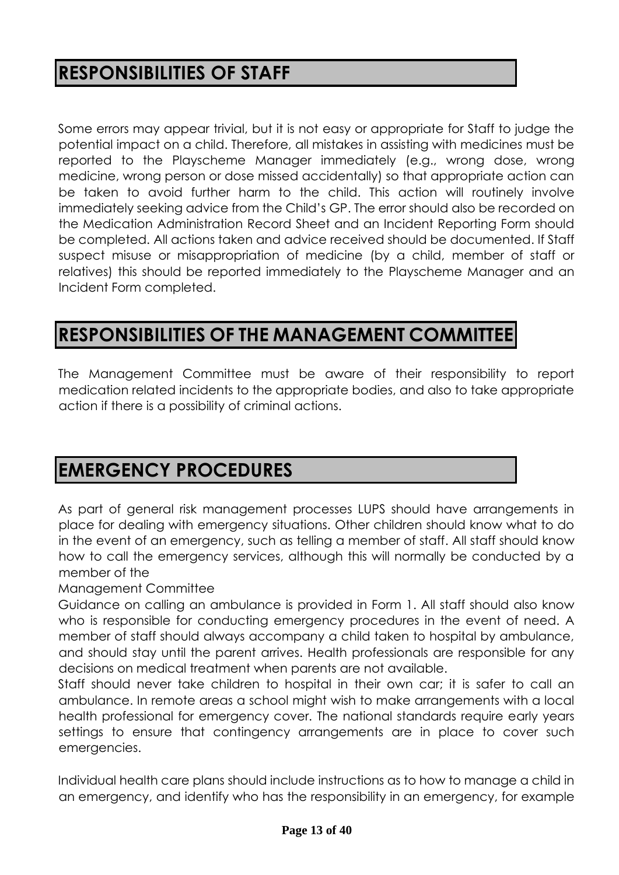# **RESPONSIBILITIES OF STAFF**

Some errors may appear trivial, but it is not easy or appropriate for Staff to judge the potential impact on a child. Therefore, all mistakes in assisting with medicines must be reported to the Playscheme Manager immediately (e.g., wrong dose, wrong medicine, wrong person or dose missed accidentally) so that appropriate action can be taken to avoid further harm to the child. This action will routinely involve immediately seeking advice from the Child's GP. The error should also be recorded on the Medication Administration Record Sheet and an Incident Reporting Form should be completed. All actions taken and advice received should be documented. If Staff suspect misuse or misappropriation of medicine (by a child, member of staff or relatives) this should be reported immediately to the Playscheme Manager and an Incident Form completed.

# **RESPONSIBILITIES OF THE MANAGEMENT COMMITTEE**

The Management Committee must be aware of their responsibility to report medication related incidents to the appropriate bodies, and also to take appropriate action if there is a possibility of criminal actions.

# **EMERGENCY PROCEDURES**

As part of general risk management processes LUPS should have arrangements in place for dealing with emergency situations. Other children should know what to do in the event of an emergency, such as telling a member of staff. All staff should know how to call the emergency services, although this will normally be conducted by a member of the

### Management Committee

Guidance on calling an ambulance is provided in Form 1. All staff should also know who is responsible for conducting emergency procedures in the event of need. A member of staff should always accompany a child taken to hospital by ambulance, and should stay until the parent arrives. Health professionals are responsible for any decisions on medical treatment when parents are not available.

Staff should never take children to hospital in their own car; it is safer to call an ambulance. In remote areas a school might wish to make arrangements with a local health professional for emergency cover. The national standards require early years settings to ensure that contingency arrangements are in place to cover such emergencies.

Individual health care plans should include instructions as to how to manage a child in an emergency, and identify who has the responsibility in an emergency, for example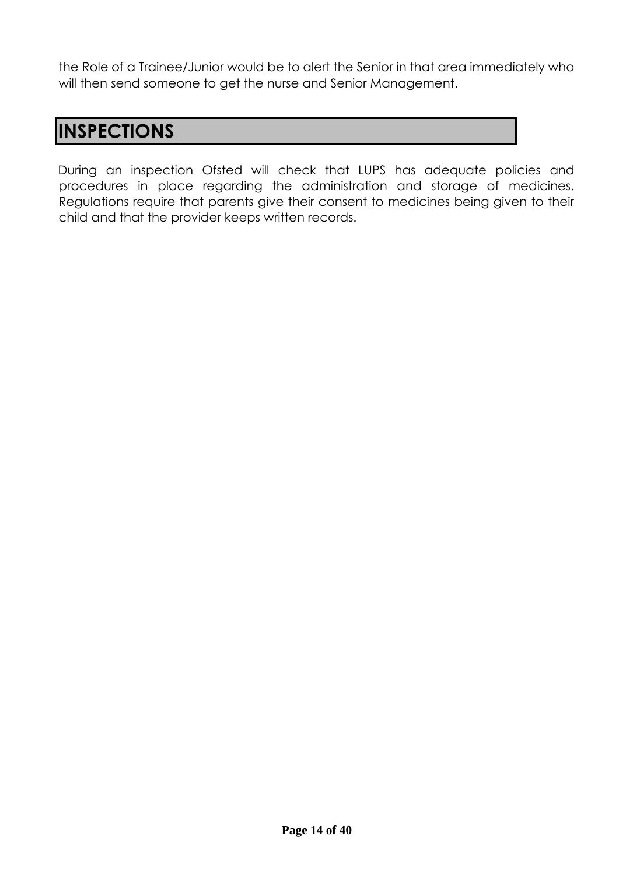the Role of a Trainee/Junior would be to alert the Senior in that area immediately who will then send someone to get the nurse and Senior Management.

# **INSPECTIONS**

During an inspection Ofsted will check that LUPS has adequate policies and procedures in place regarding the administration and storage of medicines. Regulations require that parents give their consent to medicines being given to their child and that the provider keeps written records.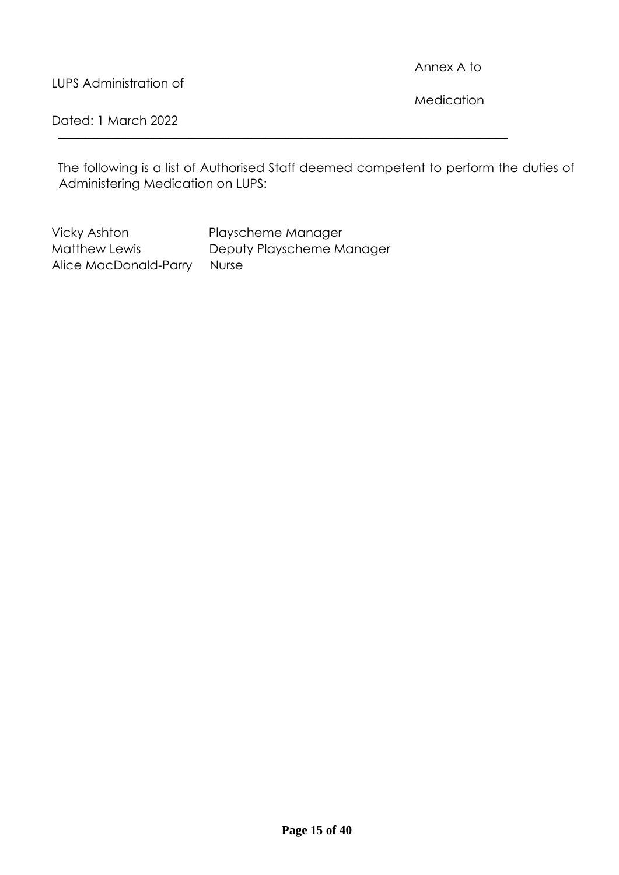Annex A to

LUPS Administration of

**Medication** 

Dated: 1 March 2022

The following is a list of Authorised Staff deemed competent to perform the duties of Administering Medication on LUPS:

**\_\_\_\_\_\_\_\_\_\_\_\_\_\_\_\_\_\_\_\_\_\_\_\_\_\_\_\_\_\_\_\_\_\_\_\_\_\_\_\_\_\_\_\_\_\_\_\_\_\_\_\_\_\_\_\_\_\_\_\_\_\_\_\_\_\_\_\_\_\_\_\_\_\_\_\_\_\_\_\_\_\_\_\_\_\_\_\_\_\_\_\_\_\_\_\_\_\_\_\_\_\_\_\_\_\_\_\_**

Vicky Ashton Playscheme Manager Matthew Lewis Deputy Playscheme Manager Alice MacDonald-Parry Nurse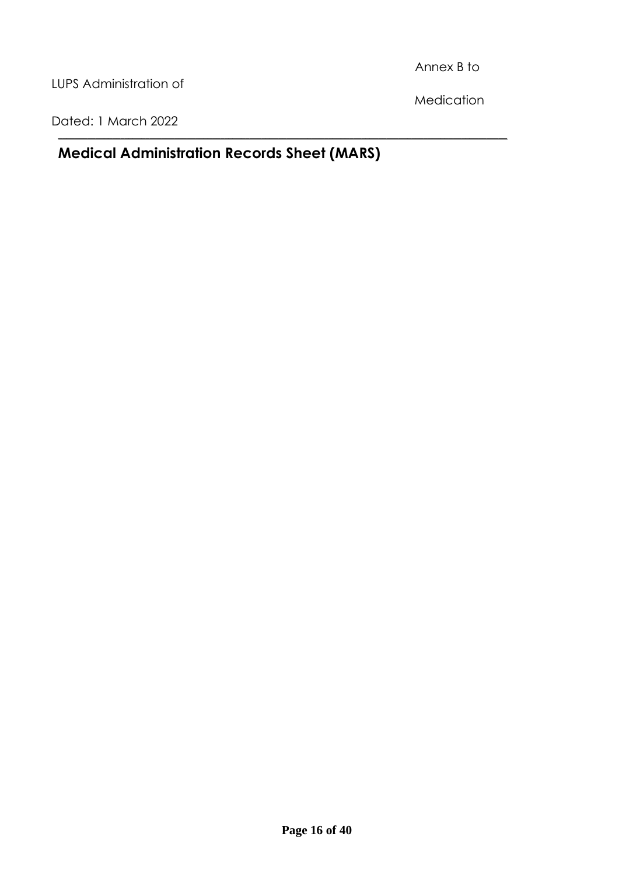Annex B to

LUPS Administration of

Medication

Dated: 1 March 2022

### **Medical Administration Records Sheet (MARS)**

**\_\_\_\_\_\_\_\_\_\_\_\_\_\_\_\_\_\_\_\_\_\_\_\_\_\_\_\_\_\_\_\_\_\_\_\_\_\_\_\_\_\_\_\_\_\_\_\_\_\_\_\_\_\_\_\_\_\_\_\_\_\_\_\_\_\_\_\_\_\_\_\_\_\_\_\_\_\_\_\_\_\_\_\_\_\_\_\_\_\_\_\_\_\_\_\_\_\_\_\_\_\_\_\_\_\_\_\_**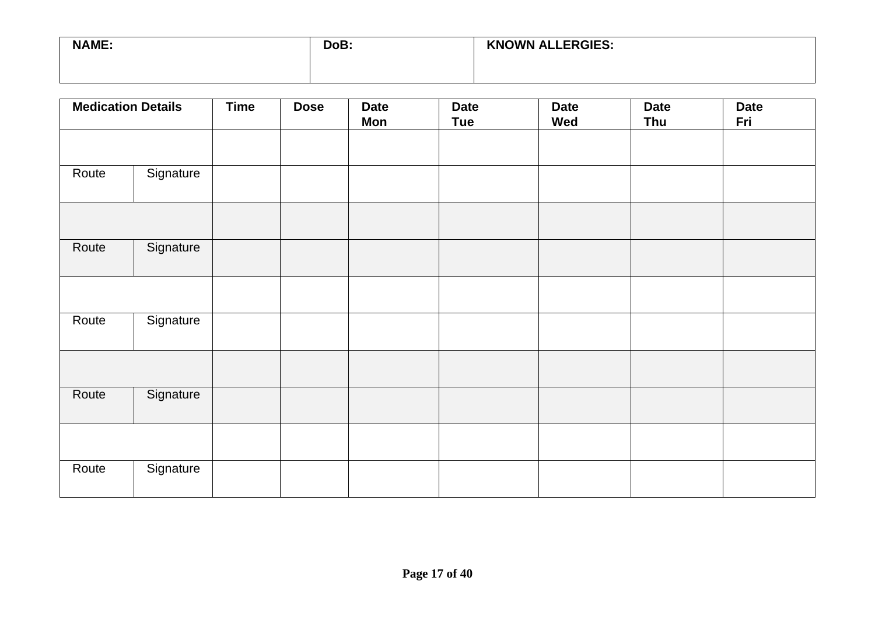| <b>NAME:</b> | DoB: | <b>KNOWN ALLERGIES:</b> |
|--------------|------|-------------------------|
|              |      |                         |

| <b>Medication Details</b> |           | <b>Time</b> | <b>Dose</b> | <b>Date</b><br>Mon | <b>Date</b><br><b>Tue</b> | <b>Date</b><br>Wed | <b>Date</b><br><b>Thu</b> | <b>Date</b><br>Fri |
|---------------------------|-----------|-------------|-------------|--------------------|---------------------------|--------------------|---------------------------|--------------------|
|                           |           |             |             |                    |                           |                    |                           |                    |
| Route                     | Signature |             |             |                    |                           |                    |                           |                    |
| Route                     | Signature |             |             |                    |                           |                    |                           |                    |
|                           |           |             |             |                    |                           |                    |                           |                    |
| Route                     | Signature |             |             |                    |                           |                    |                           |                    |
|                           |           |             |             |                    |                           |                    |                           |                    |
| Route                     | Signature |             |             |                    |                           |                    |                           |                    |
|                           |           |             |             |                    |                           |                    |                           |                    |
| Route                     | Signature |             |             |                    |                           |                    |                           |                    |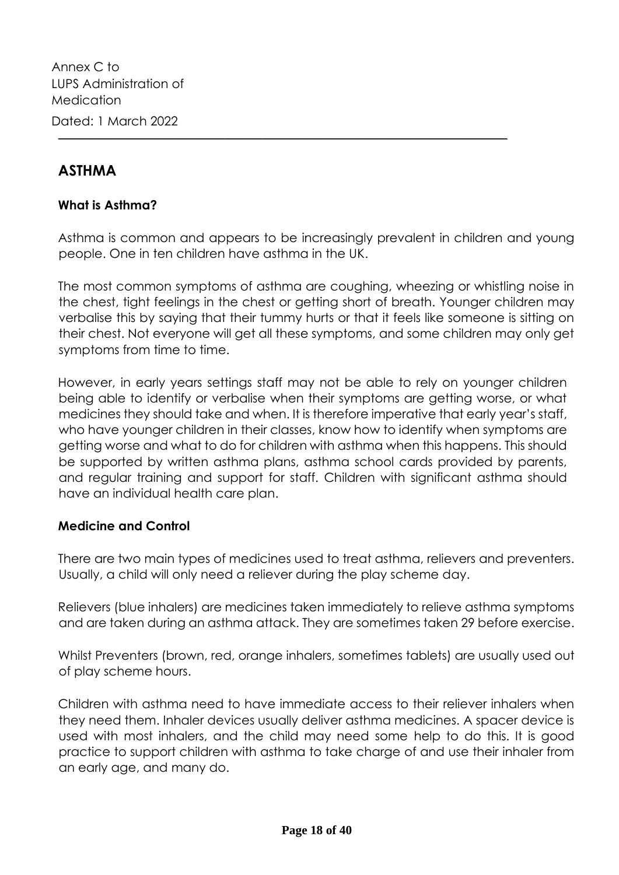Annex C to LUPS Administration of Medication Dated: 1 March 2022

### **ASTHMA**

### **What is Asthma?**

Asthma is common and appears to be increasingly prevalent in children and young people. One in ten children have asthma in the UK.

**\_\_\_\_\_\_\_\_\_\_\_\_\_\_\_\_\_\_\_\_\_\_\_\_\_\_\_\_\_\_\_\_\_\_\_\_\_\_\_\_\_\_\_\_\_\_\_\_\_\_\_\_\_\_\_\_\_\_\_\_\_\_\_\_\_\_\_\_\_\_\_\_\_\_\_\_\_\_\_\_\_\_\_\_\_\_\_\_\_\_\_\_\_\_\_\_\_\_\_\_\_\_\_\_\_\_\_\_**

The most common symptoms of asthma are coughing, wheezing or whistling noise in the chest, tight feelings in the chest or getting short of breath. Younger children may verbalise this by saying that their tummy hurts or that it feels like someone is sitting on their chest. Not everyone will get all these symptoms, and some children may only get symptoms from time to time.

However, in early years settings staff may not be able to rely on younger children being able to identify or verbalise when their symptoms are getting worse, or what medicines they should take and when. It is therefore imperative that early year's staff, who have younger children in their classes, know how to identify when symptoms are getting worse and what to do for children with asthma when this happens. This should be supported by written asthma plans, asthma school cards provided by parents, and regular training and support for staff. Children with significant asthma should have an individual health care plan.

### **Medicine and Control**

There are two main types of medicines used to treat asthma, relievers and preventers. Usually, a child will only need a reliever during the play scheme day.

Relievers (blue inhalers) are medicines taken immediately to relieve asthma symptoms and are taken during an asthma attack. They are sometimes taken 29 before exercise.

Whilst Preventers (brown, red, orange inhalers, sometimes tablets) are usually used out of play scheme hours.

Children with asthma need to have immediate access to their reliever inhalers when they need them. Inhaler devices usually deliver asthma medicines. A spacer device is used with most inhalers, and the child may need some help to do this. It is good practice to support children with asthma to take charge of and use their inhaler from an early age, and many do.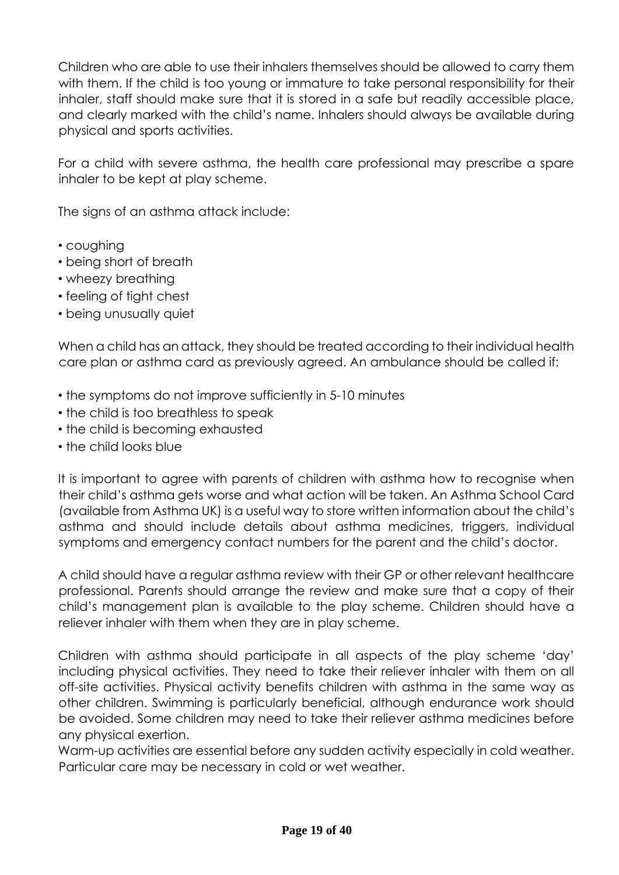Children who are able to use their inhalers themselves should be allowed to carry them with them. If the child is too young or immature to take personal responsibility for their inhaler, staff should make sure that it is stored in a safe but readily accessible place, and clearly marked with the child's name. Inhalers should always be available during physical and sports activities.

For a child with severe asthma, the health care professional may prescribe a spare inhaler to be kept at play scheme.

The signs of an asthma attack include:

- coughing
- being short of breath
- wheezy breathing
- feeling of tight chest
- being unusually quiet

When a child has an attack, they should be treated according to their individual health care plan or asthma card as previously agreed. An ambulance should be called if:

- the symptoms do not improve sufficiently in 5-10 minutes
- the child is too breathless to speak
- the child is becoming exhausted
- the child looks blue

It is important to agree with parents of children with asthma how to recognise when their child's asthma gets worse and what action will be taken. An Asthma School Card (available from Asthma UK) is a useful way to store written information about the child's asthma and should include details about asthma medicines, triggers, individual symptoms and emergency contact numbers for the parent and the child's doctor.

A child should have a regular asthma review with their GP or other relevant healthcare professional. Parents should arrange the review and make sure that a copy of their child's management plan is available to the play scheme. Children should have a reliever inhaler with them when they are in play scheme.

Children with asthma should participate in all aspects of the play scheme 'day' including physical activities. They need to take their reliever inhaler with them on all off-site activities. Physical activity benefits children with asthma in the same way as other children. Swimming is particularly beneficial, although endurance work should be avoided. Some children may need to take their reliever asthma medicines before any physical exertion.

Warm-up activities are essential before any sudden activity especially in cold weather. Particular care may be necessary in cold or wet weather.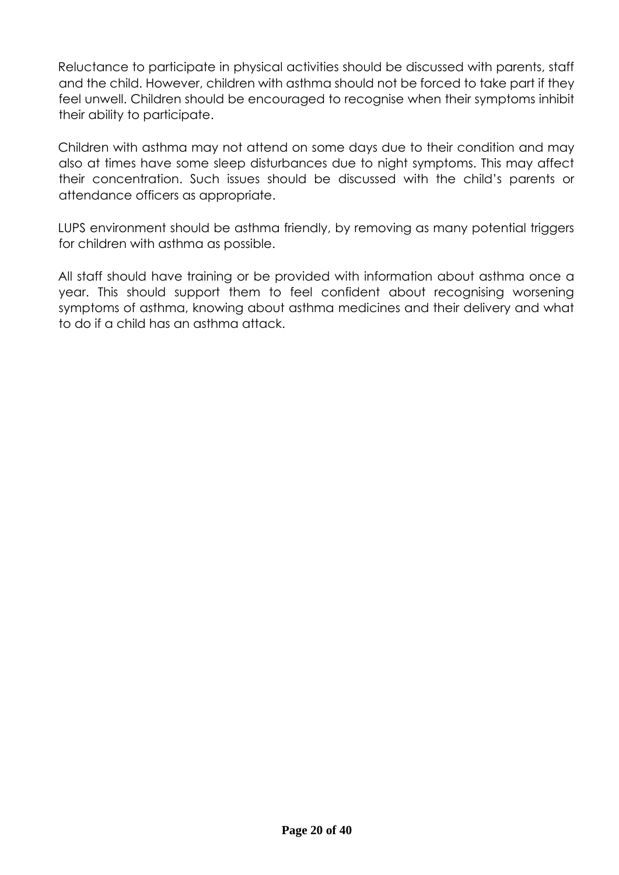Reluctance to participate in physical activities should be discussed with parents, staff and the child. However, children with asthma should not be forced to take part if they feel unwell. Children should be encouraged to recognise when their symptoms inhibit their ability to participate.

Children with asthma may not attend on some days due to their condition and may also at times have some sleep disturbances due to night symptoms. This may affect their concentration. Such issues should be discussed with the child's parents or attendance officers as appropriate.

LUPS environment should be asthma friendly, by removing as many potential triggers for children with asthma as possible.

All staff should have training or be provided with information about asthma once a year. This should support them to feel confident about recognising worsening symptoms of asthma, knowing about asthma medicines and their delivery and what to do if a child has an asthma attack.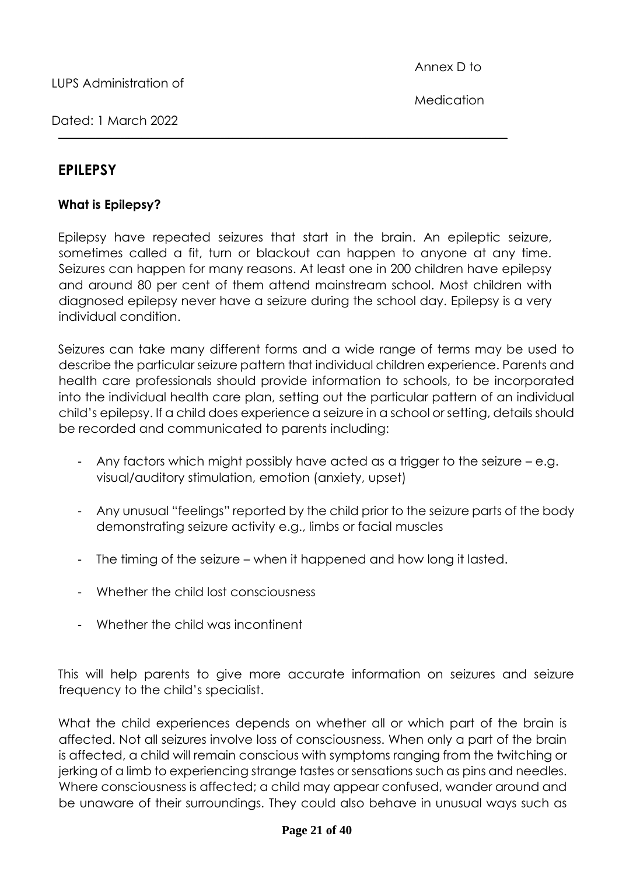Dated: 1 March 2022

### **EPILEPSY**

### **What is Epilepsy?**

Epilepsy have repeated seizures that start in the brain. An epileptic seizure, sometimes called a fit, turn or blackout can happen to anyone at any time. Seizures can happen for many reasons. At least one in 200 children have epilepsy and around 80 per cent of them attend mainstream school. Most children with diagnosed epilepsy never have a seizure during the school day. Epilepsy is a very individual condition.

**\_\_\_\_\_\_\_\_\_\_\_\_\_\_\_\_\_\_\_\_\_\_\_\_\_\_\_\_\_\_\_\_\_\_\_\_\_\_\_\_\_\_\_\_\_\_\_\_\_\_\_\_\_\_\_\_\_\_\_\_\_\_\_\_\_\_\_\_\_\_\_\_\_\_\_\_\_\_\_\_\_\_\_\_\_\_\_\_\_\_\_\_\_\_\_\_\_\_\_\_\_\_\_\_\_\_\_\_**

Seizures can take many different forms and a wide range of terms may be used to describe the particular seizure pattern that individual children experience. Parents and health care professionals should provide information to schools, to be incorporated into the individual health care plan, setting out the particular pattern of an individual child's epilepsy. If a child does experience a seizure in a school or setting, details should be recorded and communicated to parents including:

- Any factors which might possibly have acted as a trigger to the seizure e.g. visual/auditory stimulation, emotion (anxiety, upset)
- Any unusual "feelings" reported by the child prior to the seizure parts of the body demonstrating seizure activity e.g., limbs or facial muscles
- The timing of the seizure when it happened and how long it lasted.
- Whether the child lost consciousness
- Whether the child was incontinent

This will help parents to give more accurate information on seizures and seizure frequency to the child's specialist.

What the child experiences depends on whether all or which part of the brain is affected. Not all seizures involve loss of consciousness. When only a part of the brain is affected, a child will remain conscious with symptoms ranging from the twitching or jerking of a limb to experiencing strange tastes or sensations such as pins and needles. Where consciousness is affected; a child may appear confused, wander around and be unaware of their surroundings. They could also behave in unusual ways such as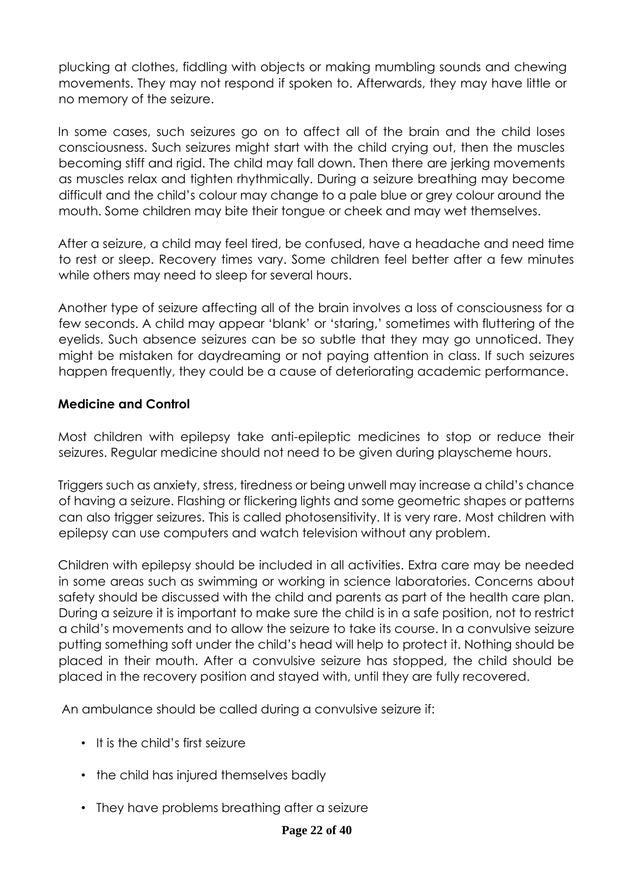plucking at clothes, fiddling with objects or making mumbling sounds and chewing movements. They may not respond if spoken to. Afterwards, they may have little or no memory of the seizure.

In some cases, such seizures go on to affect all of the brain and the child loses consciousness. Such seizures might start with the child crying out, then the muscles becoming stiff and rigid. The child may fall down. Then there are jerking movements as muscles relax and tighten rhythmically. During a seizure breathing may become difficult and the child's colour may change to a pale blue or grey colour around the mouth. Some children may bite their tongue or cheek and may wet themselves.

After a seizure, a child may feel tired, be confused, have a headache and need time to rest or sleep. Recovery times vary. Some children feel better after a few minutes while others may need to sleep for several hours.

Another type of seizure affecting all of the brain involves a loss of consciousness for a few seconds. A child may appear 'blank' or 'staring,' sometimes with fluttering of the eyelids. Such absence seizures can be so subtle that they may go unnoticed. They might be mistaken for daydreaming or not paying attention in class. If such seizures happen frequently, they could be a cause of deteriorating academic performance.

### **Medicine and Control**

Most children with epilepsy take anti-epileptic medicines to stop or reduce their seizures. Regular medicine should not need to be given during playscheme hours.

Triggers such as anxiety, stress, tiredness or being unwell may increase a child's chance of having a seizure. Flashing or flickering lights and some geometric shapes or patterns can also trigger seizures. This is called photosensitivity. It is very rare. Most children with epilepsy can use computers and watch television without any problem.

Children with epilepsy should be included in all activities. Extra care may be needed in some areas such as swimming or working in science laboratories. Concerns about safety should be discussed with the child and parents as part of the health care plan. During a seizure it is important to make sure the child is in a safe position, not to restrict a child's movements and to allow the seizure to take its course. In a convulsive seizure putting something soft under the child's head will help to protect it. Nothing should be placed in their mouth. After a convulsive seizure has stopped, the child should be placed in the recovery position and stayed with, until they are fully recovered.

An ambulance should be called during a convulsive seizure if:

- It is the child's first seizure
- the child has injured themselves badly
- They have problems breathing after a seizure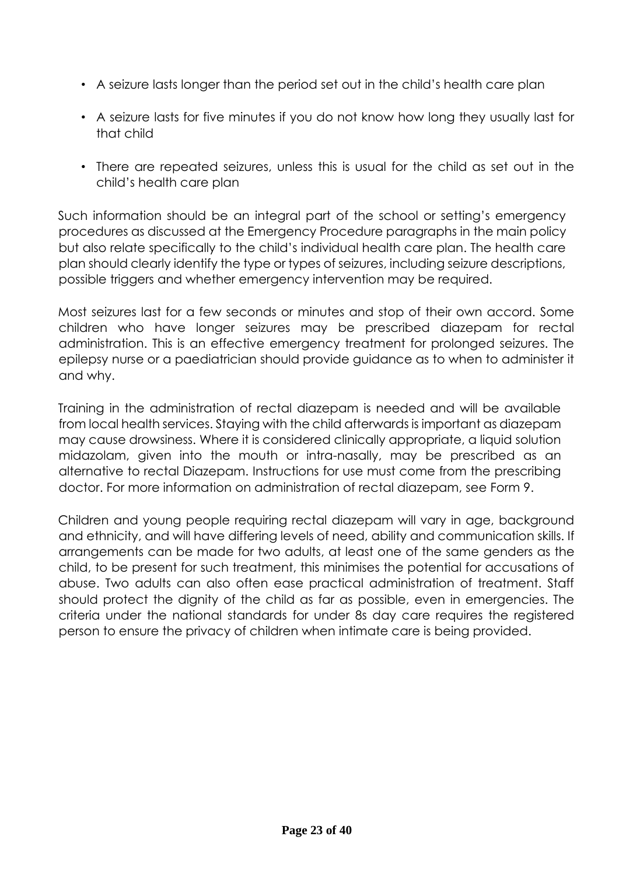- A seizure lasts longer than the period set out in the child's health care plan
- A seizure lasts for five minutes if you do not know how long they usually last for that child
- There are repeated seizures, unless this is usual for the child as set out in the child's health care plan

Such information should be an integral part of the school or setting's emergency procedures as discussed at the Emergency Procedure paragraphs in the main policy but also relate specifically to the child's individual health care plan. The health care plan should clearly identify the type or types of seizures, including seizure descriptions, possible triggers and whether emergency intervention may be required.

Most seizures last for a few seconds or minutes and stop of their own accord. Some children who have longer seizures may be prescribed diazepam for rectal administration. This is an effective emergency treatment for prolonged seizures. The epilepsy nurse or a paediatrician should provide guidance as to when to administer it and why.

Training in the administration of rectal diazepam is needed and will be available from local health services. Staying with the child afterwards is important as diazepam may cause drowsiness. Where it is considered clinically appropriate, a liquid solution midazolam, given into the mouth or intra-nasally, may be prescribed as an alternative to rectal Diazepam. Instructions for use must come from the prescribing doctor. For more information on administration of rectal diazepam, see Form 9.

Children and young people requiring rectal diazepam will vary in age, background and ethnicity, and will have differing levels of need, ability and communication skills. If arrangements can be made for two adults, at least one of the same genders as the child, to be present for such treatment, this minimises the potential for accusations of abuse. Two adults can also often ease practical administration of treatment. Staff should protect the dignity of the child as far as possible, even in emergencies. The criteria under the national standards for under 8s day care requires the registered person to ensure the privacy of children when intimate care is being provided.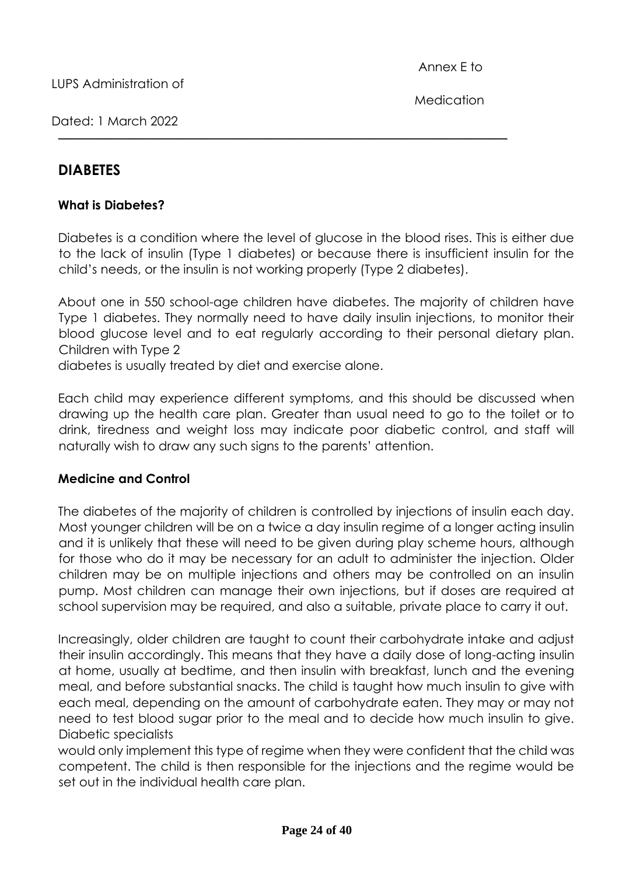Dated: 1 March 2022

### **DIABETES**

### **What is Diabetes?**

Diabetes is a condition where the level of glucose in the blood rises. This is either due to the lack of insulin (Type 1 diabetes) or because there is insufficient insulin for the child's needs, or the insulin is not working properly (Type 2 diabetes).

**\_\_\_\_\_\_\_\_\_\_\_\_\_\_\_\_\_\_\_\_\_\_\_\_\_\_\_\_\_\_\_\_\_\_\_\_\_\_\_\_\_\_\_\_\_\_\_\_\_\_\_\_\_\_\_\_\_\_\_\_\_\_\_\_\_\_\_\_\_\_\_\_\_\_\_\_\_\_\_\_\_\_\_\_\_\_\_\_\_\_\_\_\_\_\_\_\_\_\_\_\_\_\_\_\_\_\_\_**

About one in 550 school-age children have diabetes. The majority of children have Type 1 diabetes. They normally need to have daily insulin injections, to monitor their blood glucose level and to eat regularly according to their personal dietary plan. Children with Type 2

diabetes is usually treated by diet and exercise alone.

Each child may experience different symptoms, and this should be discussed when drawing up the health care plan. Greater than usual need to go to the toilet or to drink, tiredness and weight loss may indicate poor diabetic control, and staff will naturally wish to draw any such signs to the parents' attention.

### **Medicine and Control**

The diabetes of the majority of children is controlled by injections of insulin each day. Most younger children will be on a twice a day insulin regime of a longer acting insulin and it is unlikely that these will need to be given during play scheme hours, although for those who do it may be necessary for an adult to administer the injection. Older children may be on multiple injections and others may be controlled on an insulin pump. Most children can manage their own injections, but if doses are required at school supervision may be required, and also a suitable, private place to carry it out.

Increasingly, older children are taught to count their carbohydrate intake and adjust their insulin accordingly. This means that they have a daily dose of long-acting insulin at home, usually at bedtime, and then insulin with breakfast, lunch and the evening meal, and before substantial snacks. The child is taught how much insulin to give with each meal, depending on the amount of carbohydrate eaten. They may or may not need to test blood sugar prior to the meal and to decide how much insulin to give. Diabetic specialists

would only implement this type of regime when they were confident that the child was competent. The child is then responsible for the injections and the regime would be set out in the individual health care plan.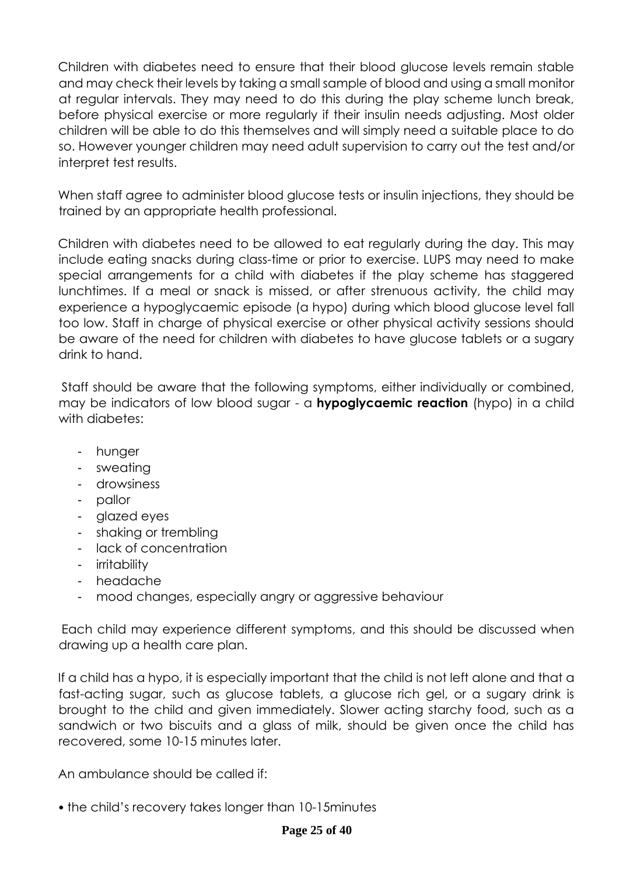Children with diabetes need to ensure that their blood glucose levels remain stable and may check their levels by taking a small sample of blood and using a small monitor at regular intervals. They may need to do this during the play scheme lunch break, before physical exercise or more regularly if their insulin needs adjusting. Most older children will be able to do this themselves and will simply need a suitable place to do so. However younger children may need adult supervision to carry out the test and/or interpret test results.

When staff agree to administer blood glucose tests or insulin injections, they should be trained by an appropriate health professional.

Children with diabetes need to be allowed to eat regularly during the day. This may include eating snacks during class-time or prior to exercise. LUPS may need to make special arrangements for a child with diabetes if the play scheme has staggered lunchtimes. If a meal or snack is missed, or after strenuous activity, the child may experience a hypoglycaemic episode (a hypo) during which blood glucose level fall too low. Staff in charge of physical exercise or other physical activity sessions should be aware of the need for children with diabetes to have glucose tablets or a sugary drink to hand.

Staff should be aware that the following symptoms, either individually or combined, may be indicators of low blood sugar - a **hypoglycaemic reaction** (hypo) in a child with diabetes:

- hunger
- sweating
- drowsiness
- pallor
- glazed eyes
- shaking or trembling
- lack of concentration
- irritability
- headache
- mood changes, especially angry or aggressive behaviour

Each child may experience different symptoms, and this should be discussed when drawing up a health care plan.

If a child has a hypo, it is especially important that the child is not left alone and that a fast-acting sugar, such as glucose tablets, a glucose rich gel, or a sugary drink is brought to the child and given immediately. Slower acting starchy food, such as a sandwich or two biscuits and a glass of milk, should be given once the child has recovered, some 10-15 minutes later.

An ambulance should be called if:

• the child's recovery takes longer than 10-15minutes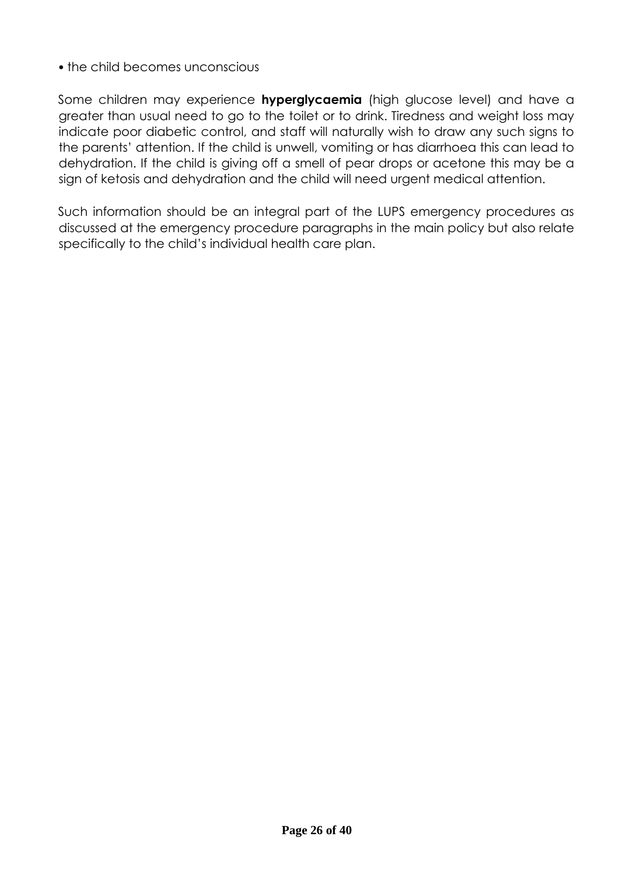### • the child becomes unconscious

Some children may experience **hyperglycaemia** (high glucose level) and have a greater than usual need to go to the toilet or to drink. Tiredness and weight loss may indicate poor diabetic control, and staff will naturally wish to draw any such signs to the parents' attention. If the child is unwell, vomiting or has diarrhoea this can lead to dehydration. If the child is giving off a smell of pear drops or acetone this may be a sign of ketosis and dehydration and the child will need urgent medical attention.

Such information should be an integral part of the LUPS emergency procedures as discussed at the emergency procedure paragraphs in the main policy but also relate specifically to the child's individual health care plan.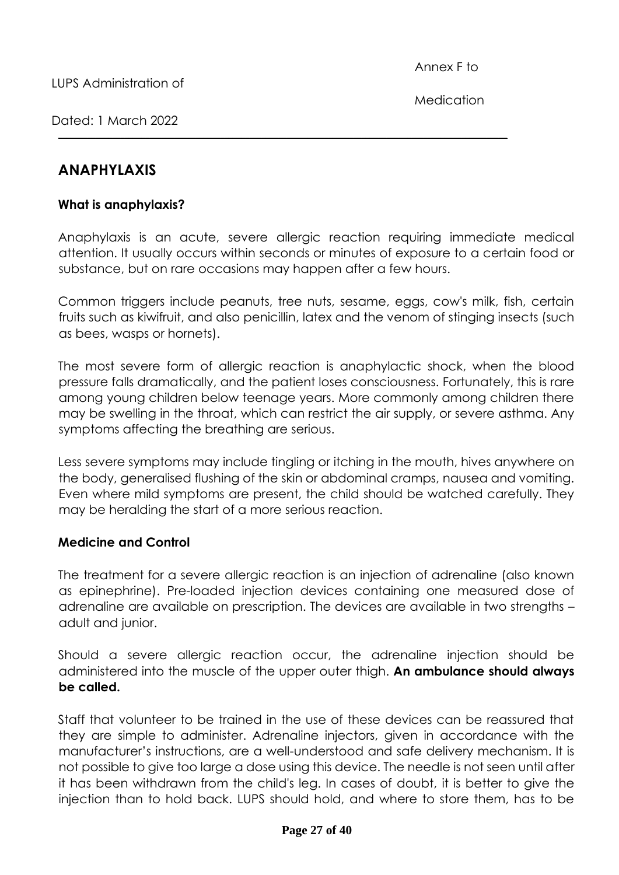**Medication** 

Dated: 1 March 2022

### **What is anaphylaxis?**

Anaphylaxis is an acute, severe allergic reaction requiring immediate medical attention. It usually occurs within seconds or minutes of exposure to a certain food or substance, but on rare occasions may happen after a few hours.

**\_\_\_\_\_\_\_\_\_\_\_\_\_\_\_\_\_\_\_\_\_\_\_\_\_\_\_\_\_\_\_\_\_\_\_\_\_\_\_\_\_\_\_\_\_\_\_\_\_\_\_\_\_\_\_\_\_\_\_\_\_\_\_\_\_\_\_\_\_\_\_\_\_\_\_\_\_\_\_\_\_\_\_\_\_\_\_\_\_\_\_\_\_\_\_\_\_\_\_\_\_\_\_\_\_\_\_\_**

Common triggers include peanuts, tree nuts, sesame, eggs, cow's milk, fish, certain fruits such as kiwifruit, and also penicillin, latex and the venom of stinging insects (such as bees, wasps or hornets).

The most severe form of allergic reaction is anaphylactic shock, when the blood pressure falls dramatically, and the patient loses consciousness. Fortunately, this is rare among young children below teenage years. More commonly among children there may be swelling in the throat, which can restrict the air supply, or severe asthma. Any symptoms affecting the breathing are serious.

Less severe symptoms may include tingling or itching in the mouth, hives anywhere on the body, generalised flushing of the skin or abdominal cramps, nausea and vomiting. Even where mild symptoms are present, the child should be watched carefully. They may be heralding the start of a more serious reaction.

### **Medicine and Control**

The treatment for a severe allergic reaction is an injection of adrenaline (also known as epinephrine). Pre-loaded injection devices containing one measured dose of adrenaline are available on prescription. The devices are available in two strengths – adult and junior.

Should a severe allergic reaction occur, the adrenaline injection should be administered into the muscle of the upper outer thigh. **An ambulance should always be called.** 

Staff that volunteer to be trained in the use of these devices can be reassured that they are simple to administer. Adrenaline injectors, given in accordance with the manufacturer's instructions, are a well-understood and safe delivery mechanism. It is not possible to give too large a dose using this device. The needle is not seen until after it has been withdrawn from the child's leg. In cases of doubt, it is better to give the injection than to hold back. LUPS should hold, and where to store them, has to be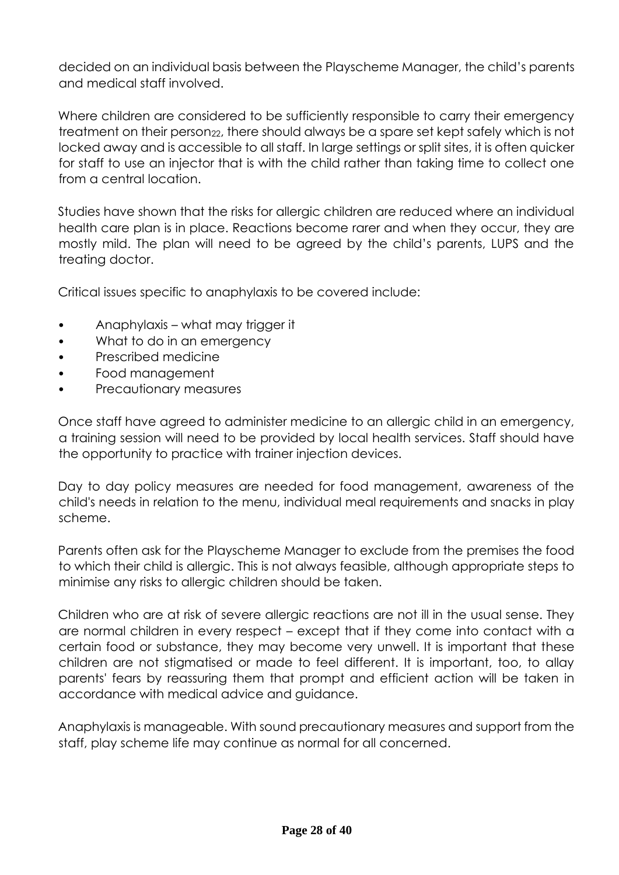decided on an individual basis between the Playscheme Manager, the child's parents and medical staff involved.

Where children are considered to be sufficiently responsible to carry their emergency treatment on their person<sub>22</sub>, there should always be a spare set kept safely which is not locked away and is accessible to all staff. In large settings or split sites, it is often quicker for staff to use an injector that is with the child rather than taking time to collect one from a central location.

Studies have shown that the risks for allergic children are reduced where an individual health care plan is in place. Reactions become rarer and when they occur, they are mostly mild. The plan will need to be agreed by the child's parents, LUPS and the treating doctor.

Critical issues specific to anaphylaxis to be covered include:

- Anaphylaxis what may trigger it
- What to do in an emergency
- Prescribed medicine
- Food management
- Precautionary measures

Once staff have agreed to administer medicine to an allergic child in an emergency, a training session will need to be provided by local health services. Staff should have the opportunity to practice with trainer injection devices.

Day to day policy measures are needed for food management, awareness of the child's needs in relation to the menu, individual meal requirements and snacks in play scheme.

Parents often ask for the Playscheme Manager to exclude from the premises the food to which their child is allergic. This is not always feasible, although appropriate steps to minimise any risks to allergic children should be taken.

Children who are at risk of severe allergic reactions are not ill in the usual sense. They are normal children in every respect – except that if they come into contact with a certain food or substance, they may become very unwell. It is important that these children are not stigmatised or made to feel different. It is important, too, to allay parents' fears by reassuring them that prompt and efficient action will be taken in accordance with medical advice and guidance.

Anaphylaxis is manageable. With sound precautionary measures and support from the staff, play scheme life may continue as normal for all concerned.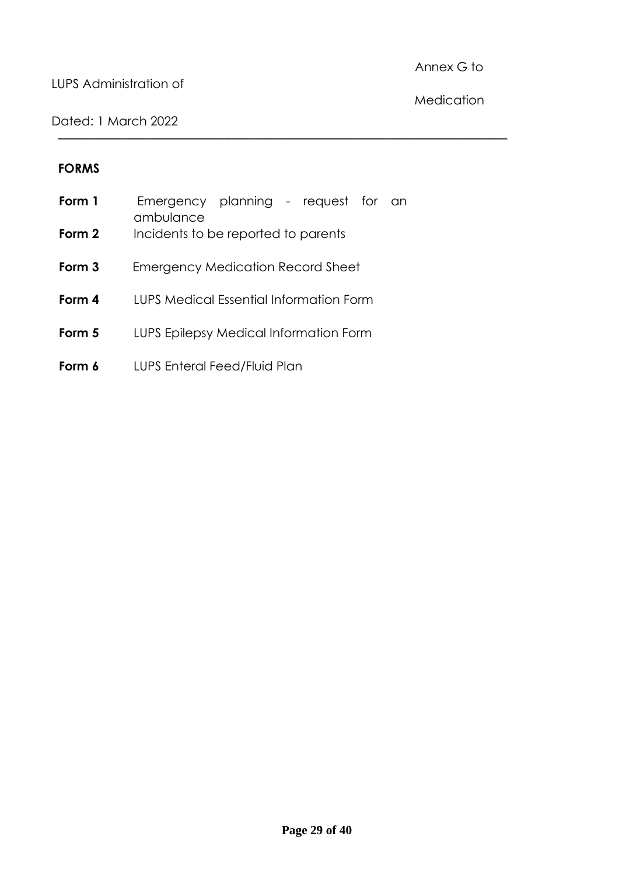### LUPS Administration of

Annex G to

Dated: 1 March 2022

Medication

### **FORMS**

| Form 1 | Emergency planning - request for<br>-an<br>ambulance |
|--------|------------------------------------------------------|
| Form 2 | Incidents to be reported to parents                  |
| Form 3 | Emergency Medication Record Sheet                    |
| Form 4 | LUPS Medical Essential Information Form              |
| Form 5 | LUPS Epilepsy Medical Information Form               |
| Form 6 | LUPS Enteral Feed/Fluid Plan                         |

**\_\_\_\_\_\_\_\_\_\_\_\_\_\_\_\_\_\_\_\_\_\_\_\_\_\_\_\_\_\_\_\_\_\_\_\_\_\_\_\_\_\_\_\_\_\_\_\_\_\_\_\_\_\_\_\_\_\_\_\_\_\_\_\_\_\_\_\_\_\_\_\_\_\_\_\_\_\_\_\_\_\_\_\_\_\_\_\_\_\_\_\_\_\_\_\_\_\_\_\_\_\_\_\_\_\_\_\_**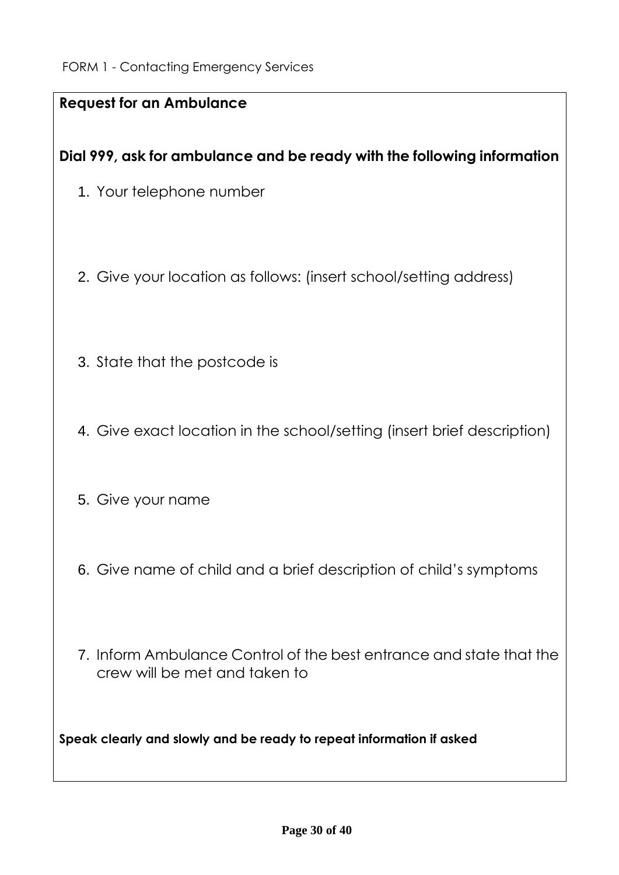| <b>Request for an Ambulance</b>                                                                      |
|------------------------------------------------------------------------------------------------------|
| Dial 999, ask for ambulance and be ready with the following information                              |
|                                                                                                      |
| 1. Your telephone number                                                                             |
|                                                                                                      |
| 2. Give your location as follows: (insert school/setting address)                                    |
| 3. State that the postcode is                                                                        |
|                                                                                                      |
|                                                                                                      |
| 4. Give exact location in the school/setting (insert brief description)                              |
|                                                                                                      |
|                                                                                                      |
| 5. Give your name                                                                                    |
|                                                                                                      |
| 6. Give name of child and a brief description of child's symptoms                                    |
|                                                                                                      |
|                                                                                                      |
|                                                                                                      |
| 7. Inform Ambulance Control of the best entrance and state that the<br>crew will be met and taken to |
|                                                                                                      |
|                                                                                                      |
| Speak clearly and slowly and be ready to repeat information if asked                                 |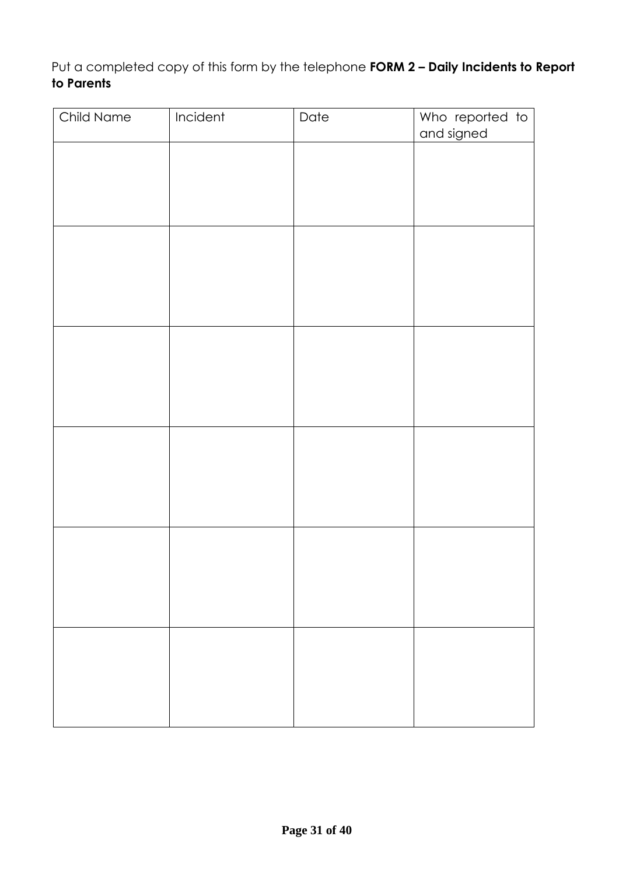Put a completed copy of this form by the telephone **FORM 2 – Daily Incidents to Report to Parents** 

| Child Name | Incident | Date | Who reported to |
|------------|----------|------|-----------------|
|            |          |      | and signed      |
|            |          |      |                 |
|            |          |      |                 |
|            |          |      |                 |
|            |          |      |                 |
|            |          |      |                 |
|            |          |      |                 |
|            |          |      |                 |
|            |          |      |                 |
|            |          |      |                 |
|            |          |      |                 |
|            |          |      |                 |
|            |          |      |                 |
|            |          |      |                 |
|            |          |      |                 |
|            |          |      |                 |
|            |          |      |                 |
|            |          |      |                 |
|            |          |      |                 |
|            |          |      |                 |
|            |          |      |                 |
|            |          |      |                 |
|            |          |      |                 |
|            |          |      |                 |
|            |          |      |                 |
|            |          |      |                 |
|            |          |      |                 |
|            |          |      |                 |
|            |          |      |                 |
|            |          |      |                 |
|            |          |      |                 |
|            |          |      |                 |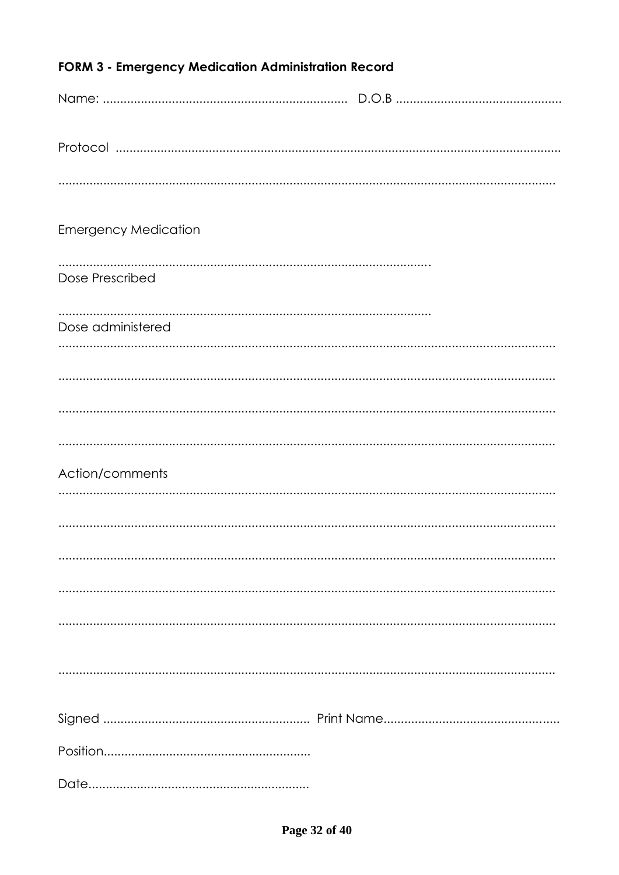| <b>FORM 3 - Emergency Medication Administration Record</b> |  |
|------------------------------------------------------------|--|
|                                                            |  |
|                                                            |  |
|                                                            |  |
|                                                            |  |
| <b>Emergency Medication</b>                                |  |
|                                                            |  |
| Dose Prescribed                                            |  |
| Dose administered                                          |  |
|                                                            |  |
|                                                            |  |
|                                                            |  |
|                                                            |  |
| Action/comments                                            |  |
|                                                            |  |
|                                                            |  |
|                                                            |  |
|                                                            |  |
|                                                            |  |
|                                                            |  |
|                                                            |  |
|                                                            |  |
|                                                            |  |
|                                                            |  |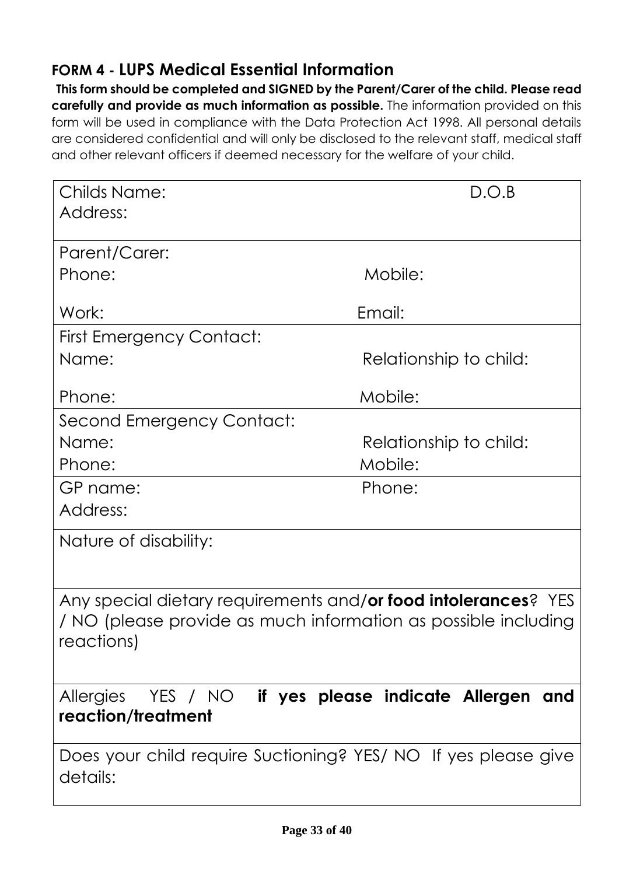### **FORM 4 - LUPS Medical Essential Information**

**This form should be completed and SIGNED by the Parent/Carer of the child. Please read carefully and provide as much information as possible.** The information provided on this form will be used in compliance with the Data Protection Act 1998. All personal details are considered confidential and will only be disclosed to the relevant staff, medical staff and other relevant officers if deemed necessary for the welfare of your child.

| <b>Childs Name:</b>                                            | D.O.B                                  |
|----------------------------------------------------------------|----------------------------------------|
| Address:                                                       |                                        |
|                                                                |                                        |
| Parent/Carer:                                                  |                                        |
| Phone:                                                         | Mobile:                                |
|                                                                |                                        |
| Work:                                                          | Email:                                 |
| <b>First Emergency Contact:</b>                                |                                        |
| Name:                                                          | Relationship to child:                 |
|                                                                |                                        |
| Phone:                                                         | Mobile:                                |
| Second Emergency Contact:                                      |                                        |
| Name:                                                          | Relationship to child:                 |
| Phone:                                                         | Mobile:                                |
| GP name:                                                       | Phone:                                 |
| Address:                                                       |                                        |
| Nature of disability:                                          |                                        |
|                                                                |                                        |
|                                                                |                                        |
| Any special dietary requirements and/or food intolerances? YES |                                        |
| / NO (please provide as much information as possible including |                                        |
| reactions)                                                     |                                        |
|                                                                |                                        |
| YES / NO<br><b>Allergies</b>                                   | if yes please indicate Allergen<br>and |
| reaction/treatment                                             |                                        |
|                                                                |                                        |
| Does your child require Suctioning? YES/ NO If yes please give |                                        |
| details:                                                       |                                        |
|                                                                |                                        |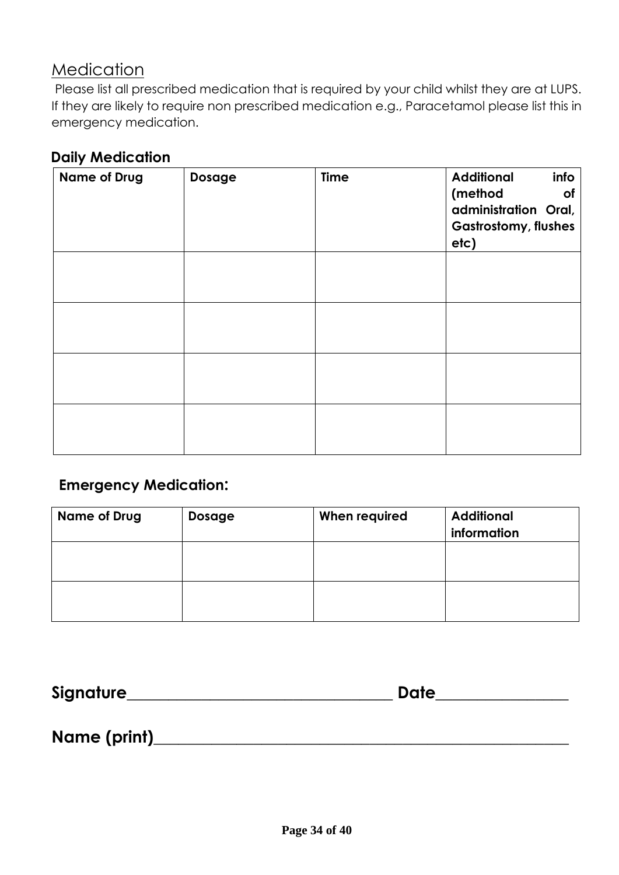### **Medication**

Please list all prescribed medication that is required by your child whilst they are at LUPS. If they are likely to require non prescribed medication e.g., Paracetamol please list this in emergency medication.

### **Daily Medication**

| <b>Name of Drug</b> | Dosage | <b>Time</b> | <b>Additional</b><br>info<br>(method<br><b>of</b><br>administration Oral,<br><b>Gastrostomy, flushes</b><br>etc) |
|---------------------|--------|-------------|------------------------------------------------------------------------------------------------------------------|
|                     |        |             |                                                                                                                  |
|                     |        |             |                                                                                                                  |
|                     |        |             |                                                                                                                  |
|                     |        |             |                                                                                                                  |

### **Emergency Medication:**

| <b>Name of Drug</b> | <b>Dosage</b> | When required | <b>Additional</b><br>information |
|---------------------|---------------|---------------|----------------------------------|
|                     |               |               |                                  |
|                     |               |               |                                  |
|                     |               |               |                                  |

| <b>Signature</b> | Date |
|------------------|------|
|                  |      |

**Name (print)\_\_\_\_\_\_\_\_\_\_\_\_\_\_\_\_\_\_\_\_\_\_\_\_\_\_\_\_\_\_\_\_\_\_\_\_\_\_\_\_\_\_\_\_\_\_\_\_\_\_**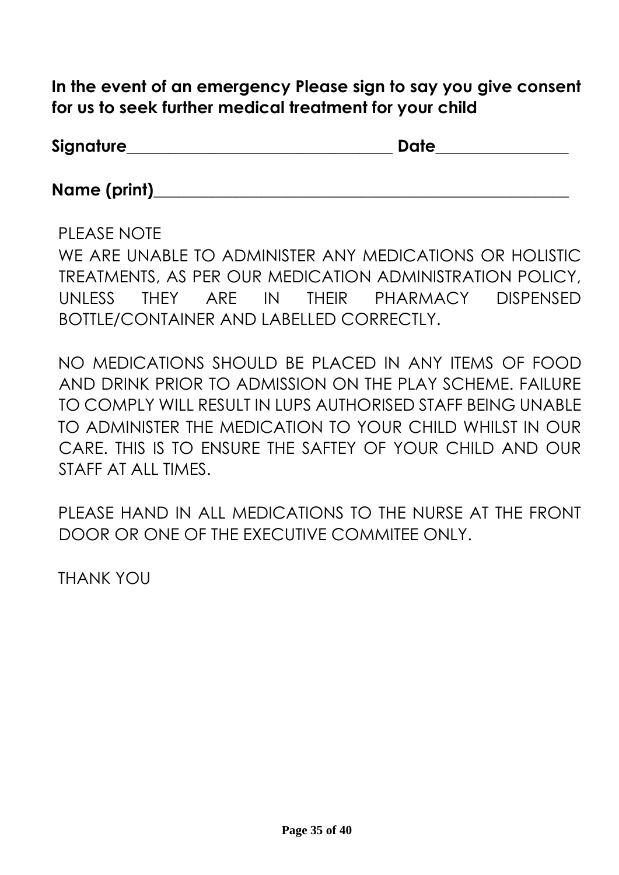**In the event of an emergency Please sign to say you give consent for us to seek further medical treatment for your child** 

| <b>Signature</b> | Date |  |
|------------------|------|--|
|                  |      |  |

Name (print)

PLEASE NOTE WE ARE UNABLE TO ADMINISTER ANY MEDICATIONS OR HOLISTIC TREATMENTS, AS PER OUR MEDICATION ADMINISTRATION POLICY, UNLESS THEY ARE IN THEIR PHARMACY DISPENSED BOTTLE/CONTAINER AND LABELLED CORRECTLY.

NO MEDICATIONS SHOULD BE PLACED IN ANY ITEMS OF FOOD AND DRINK PRIOR TO ADMISSION ON THE PLAY SCHEME. FAILURE TO COMPLY WILL RESULT IN LUPS AUTHORISED STAFF BEING UNABLE TO ADMINISTER THE MEDICATION TO YOUR CHILD WHILST IN OUR CARE. THIS IS TO ENSURE THE SAFTEY OF YOUR CHILD AND OUR STAFF AT ALL TIMES.

PLEASE HAND IN ALL MEDICATIONS TO THE NURSE AT THE FRONT DOOR OR ONE OF THE EXECUTIVE COMMITEE ONLY.

THANK YOU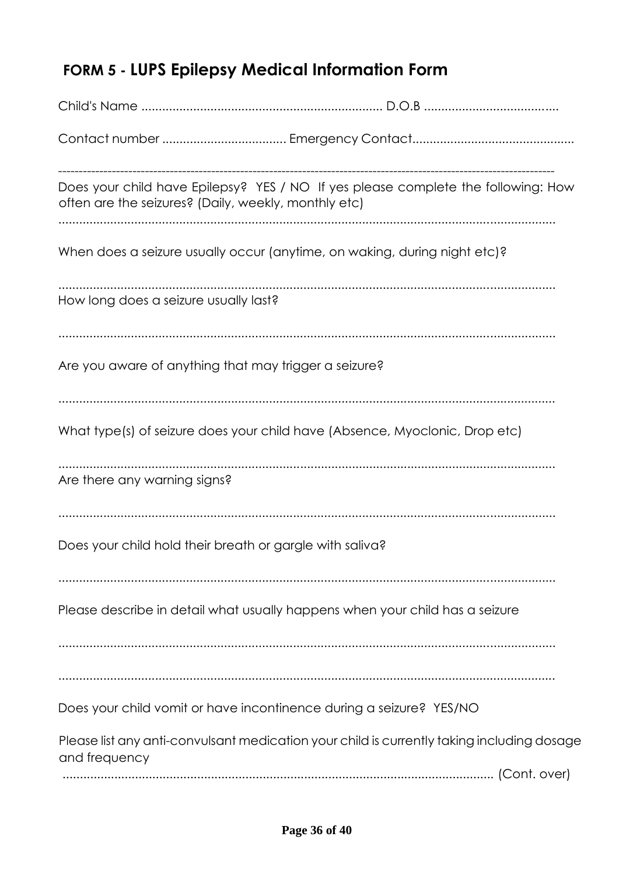# **FORM 5 - LUPS Epilepsy Medical Information Form**

| often are the seizures? (Daily, weekly, monthly etc)                      | Does your child have Epilepsy? YES / NO If yes please complete the following: How          |
|---------------------------------------------------------------------------|--------------------------------------------------------------------------------------------|
| When does a seizure usually occur (anytime, on waking, during night etc)? |                                                                                            |
| How long does a seizure usually last?                                     |                                                                                            |
| Are you aware of anything that may trigger a seizure?                     |                                                                                            |
|                                                                           | What type(s) of seizure does your child have (Absence, Myoclonic, Drop etc)                |
| Are there any warning signs?                                              |                                                                                            |
| Does your child hold their breath or gargle with saliva?                  |                                                                                            |
|                                                                           | Please describe in detail what usually happens when your child has a seizure               |
|                                                                           |                                                                                            |
| Does your child vomit or have incontinence during a seizure? YES/NO       |                                                                                            |
| and frequency                                                             | Please list any anti-convulsant medication your child is currently taking including dosage |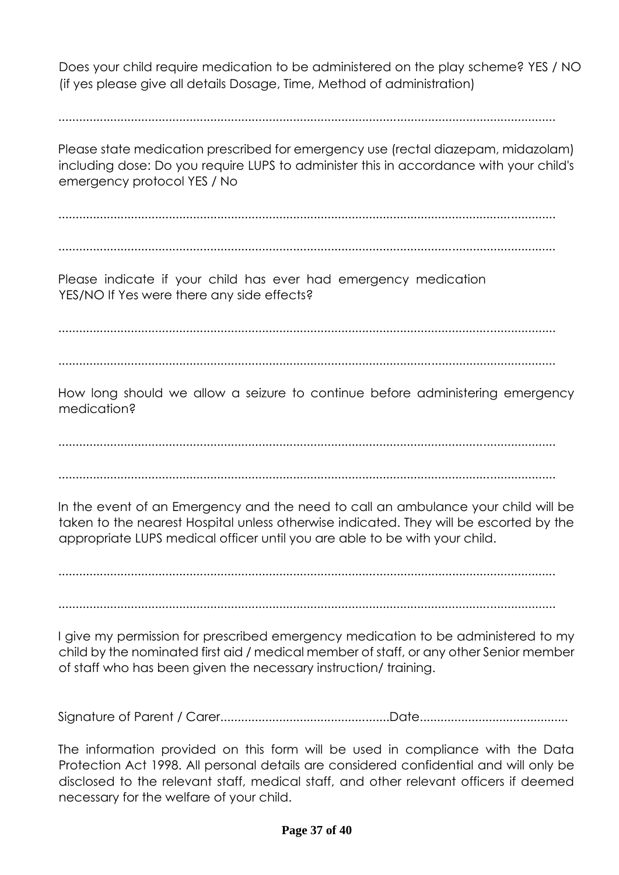Does your child require medication to be administered on the play scheme? YES / NO (if yes please give all details Dosage, Time, Method of administration)

................................................................................................................................................

Please state medication prescribed for emergency use (rectal diazepam, midazolam) including dose: Do you require LUPS to administer this in accordance with your child's emergency protocol YES / No

................................................................................................................................................

................................................................................................................................................

Please indicate if your child has ever had emergency medication YES/NO If Yes were there any side effects?

................................................................................................................................................

................................................................................................................................................

How long should we allow a seizure to continue before administering emergency medication?

................................................................................................................................................

................................................................................................................................................

In the event of an Emergency and the need to call an ambulance your child will be taken to the nearest Hospital unless otherwise indicated. They will be escorted by the appropriate LUPS medical officer until you are able to be with your child.

................................................................................................................................................

................................................................................................................................................

I give my permission for prescribed emergency medication to be administered to my child by the nominated first aid / medical member of staff, or any other Senior member of staff who has been given the necessary instruction/ training.

Signature of Parent / Carer.................................................Date...........................................

The information provided on this form will be used in compliance with the Data Protection Act 1998. All personal details are considered confidential and will only be disclosed to the relevant staff, medical staff, and other relevant officers if deemed necessary for the welfare of your child.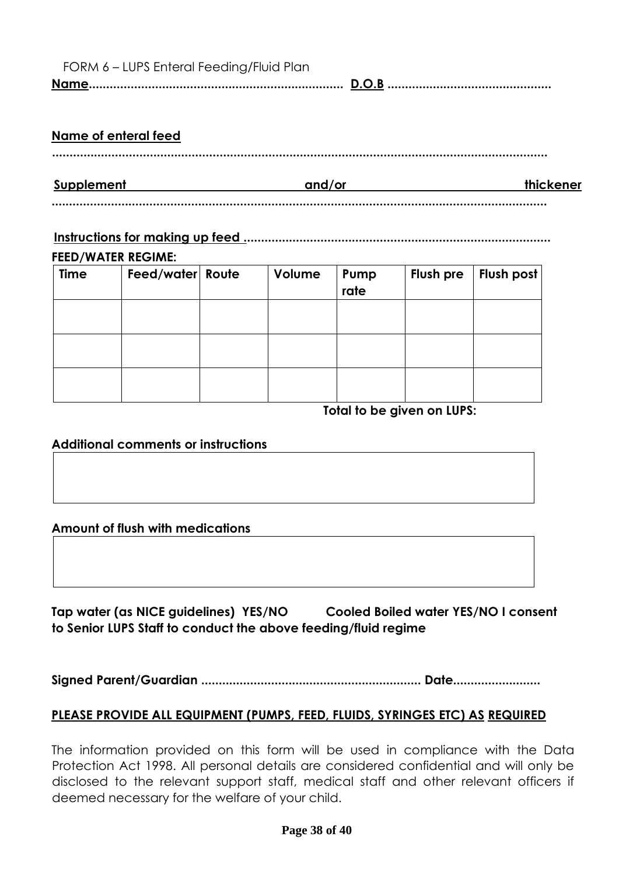| FORM 6 – LUPS Enteral Feeding/Fluid Plan |  |
|------------------------------------------|--|
|                                          |  |

#### **Name of enteral feed**

**Supplement** and/or thickener **and/or** 

### **..............................................................................................................................................**

### **Instructions for making up feed ........................................................................................**

#### **FEED/WATER REGIME:**

| <b>Time</b> | Feed/water Route | Volume | Pump<br>rate | Flush pre | Flush post |
|-------------|------------------|--------|--------------|-----------|------------|
|             |                  |        |              |           |            |
|             |                  |        |              |           |            |
|             |                  |        |              |           |            |

 **Total to be given on LUPS:** 

#### **Additional comments or instructions**

### **Amount of flush with medications**

**Tap water (as NICE guidelines) YES/NO Cooled Boiled water YES/NO I consent to Senior LUPS Staff to conduct the above feeding/fluid regime** 

**Signed Parent/Guardian ............................................................... Date.........................** 

### **PLEASE PROVIDE ALL EQUIPMENT (PUMPS, FEED, FLUIDS, SYRINGES ETC) AS REQUIRED**

The information provided on this form will be used in compliance with the Data Protection Act 1998. All personal details are considered confidential and will only be disclosed to the relevant support staff, medical staff and other relevant officers if deemed necessary for the welfare of your child.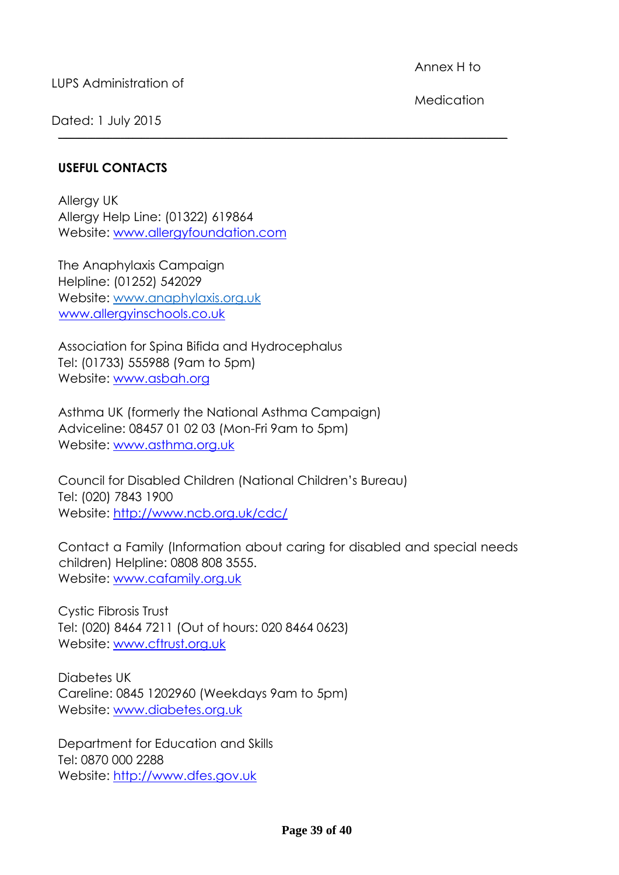LUPS Administration of

Annex H to

Dated: 1 July 2015

Medication

### **USEFUL CONTACTS**

Allergy UK Allergy Help Line: (01322) 619864 Website: [www.allergyfoundation.com](http://www.allergyfoundation.com/)

The Anaphylaxis Campaign Helpline: (01252) 542029 Website: [www.anaphylaxis.org.uk](http://www.anaphylaxis.org.uk/)  [www.allergyinschools.co.uk](http://www.allergyinschools.co.uk/)

Association for Spina Bifida and Hydrocephalus Tel: (01733) 555988 (9am to 5pm) Website: [www.asbah.org](http://www.asbah.org/)

Asthma UK (formerly the National Asthma Campaign) Adviceline: 08457 01 02 03 (Mon-Fri 9am to 5pm) Website: [www.asthma.org.uk](http://www.asthma.org.uk/)

Council for Disabled Children (National Children's Bureau) Tel: (020) 7843 1900 Website:<http://www.ncb.org.uk/cdc/>

Contact a Family (Information about caring for disabled and special needs children) Helpline: 0808 808 3555. Website: [www.cafamily.org.uk](http://www.cafamily.org.uk/)

**\_\_\_\_\_\_\_\_\_\_\_\_\_\_\_\_\_\_\_\_\_\_\_\_\_\_\_\_\_\_\_\_\_\_\_\_\_\_\_\_\_\_\_\_\_\_\_\_\_\_\_\_\_\_\_\_\_\_\_\_\_\_\_\_\_\_\_\_\_\_\_\_\_\_\_\_\_\_\_\_\_\_\_\_\_\_\_\_\_\_\_\_\_\_\_\_\_\_\_\_\_\_\_\_\_\_\_\_**

Cystic Fibrosis Trust Tel: (020) 8464 7211 (Out of hours: 020 8464 0623) Website: [www.cftrust.org.uk](http://www.cftrust.org.uk/)

Diabetes UK Careline: 0845 1202960 (Weekdays 9am to 5pm) Website: [www.diabetes.org.uk](http://www.diabetes.org.uk/)

Department for Education and Skills Tel: 0870 000 2288 Website: [http://www.dfes.gov.uk](http://www.dfes.gov.uk/)